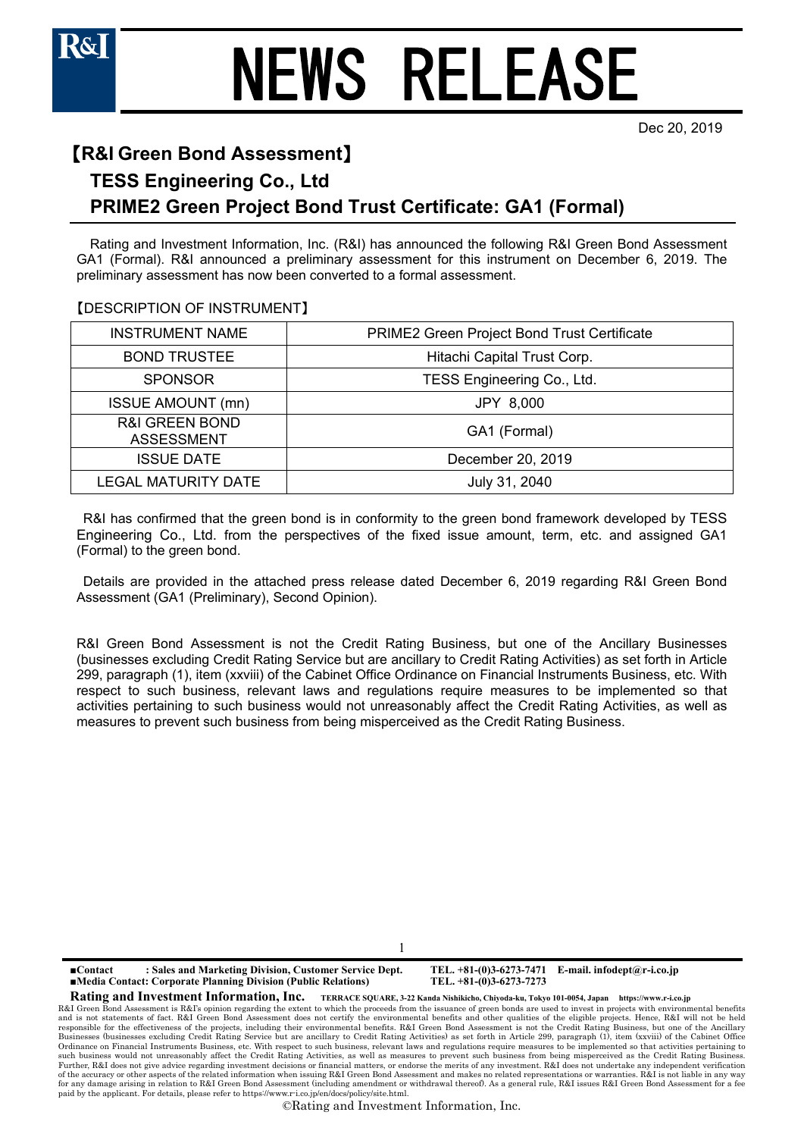Dec 20, 2019

## 【**R&I Green Bond Assessment**】

### **TESS Engineering Co., Ltd**

## **PRIME2 Green Project Bond Trust Certificate: GA1 (Formal)**

Rating and Investment Information, Inc. (R&I) has announced the following R&I Green Bond Assessment GA1 (Formal). R&I announced a preliminary assessment for this instrument on December 6, 2019. The preliminary assessment has now been converted to a formal assessment.

### 【DESCRIPTION OF INSTRUMENT】

| <b>INSTRUMENT NAME</b>                         | PRIME2 Green Project Bond Trust Certificate |  |
|------------------------------------------------|---------------------------------------------|--|
| <b>BOND TRUSTEE</b>                            | Hitachi Capital Trust Corp.                 |  |
| <b>SPONSOR</b>                                 | TESS Engineering Co., Ltd.                  |  |
| <b>ISSUE AMOUNT (mn)</b>                       | JPY 8,000                                   |  |
| <b>R&amp;I GREEN BOND</b><br><b>ASSESSMENT</b> | GA1 (Formal)                                |  |
| <b>ISSUE DATE</b>                              | December 20, 2019                           |  |
| <b>LEGAL MATURITY DATE</b>                     | July 31, 2040                               |  |

R&I has confirmed that the green bond is in conformity to the green bond framework developed by TESS Engineering Co., Ltd. from the perspectives of the fixed issue amount, term, etc. and assigned GA1 (Formal) to the green bond.

Details are provided in the attached press release dated December 6, 2019 regarding R&I Green Bond Assessment (GA1 (Preliminary), Second Opinion).

R&I Green Bond Assessment is not the Credit Rating Business, but one of the Ancillary Businesses (businesses excluding Credit Rating Service but are ancillary to Credit Rating Activities) as set forth in Article 299, paragraph (1), item (xxviii) of the Cabinet Office Ordinance on Financial Instruments Business, etc. With respect to such business, relevant laws and regulations require measures to be implemented so that activities pertaining to such business would not unreasonably affect the Credit Rating Activities, as well as measures to prevent such business from being misperceived as the Credit Rating Business.

1

**■Contact : Sales and Marketing Division, Customer Service Dept. TEL. +81-(0)3-6273-7471 E-mail. infodept@r-i.co.jp ■Media Contact: Corporate Planning Division (Public Relations)** 

**Rating and Investment Information, Inc. TERRACE SQUARE, 3-22 Kanda Nishikicho, Chiyoda-ku, Tokyo 101-0054, Japan https://www.r-i.co.jp** 

R&I Green Bond Assessment is R&I's opinion regarding the extent to which the proceeds from the issuance of green bonds are used to invest in projects with environmental benefits and is not statements of fact. R&I Green Bond Assessment does not certify the environmental benefits and other qualities of the eligible projects. Hence, R&I will not be held<br>responsible for the effectiveness of the projec Businesses (businesses excluding Credit Rating Service but are ancillary to Credit Rating Activities) as set forth in Article 299, paragraph (1), item (xxviii) of the Cabinet Office<br>Ordinance on Financial Instruments Busin such business would not unreasonably affect the Credit Rating Activities, as well as measures to prevent such business from being misperceived as the Credit Rating Business.<br>Further, R&I does not give advice regarding inve of the accuracy or other aspects of the related information when issuing R&I Green Bond Assessment and makes no related representations or warranties. R&I is not liable in any way for any damage arising in relation to R&I Green Bond Assessment (including amendment or withdrawal thereof). As a general rule, R&I issues R&I Green Bond Assessment for a fee paid by the applicant. For details, please refer to https://www.r-i.co.jp/en/docs/policy/site.html.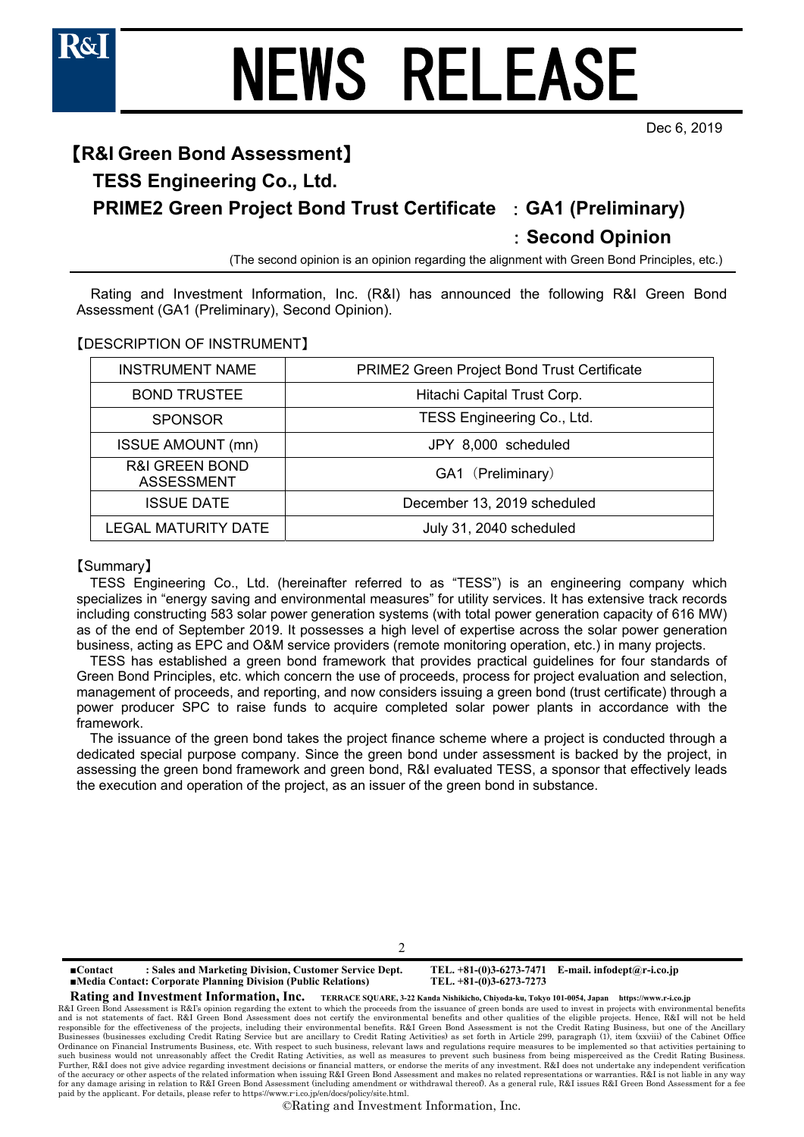

Dec 6, 2019

## 【**R&I Green Bond Assessment**】 **TESS Engineering Co., Ltd. PRIME2 Green Project Bond Trust Certificate** :**GA1 (Preliminary)**  :**Second Opinion**

(The second opinion is an opinion regarding the alignment with Green Bond Principles, etc.)

Rating and Investment Information, Inc. (R&I) has announced the following R&I Green Bond Assessment (GA1 (Preliminary), Second Opinion).

【DESCRIPTION OF INSTRUMENT】

| <b>INSTRUMENT NAME</b>                         | PRIME2 Green Project Bond Trust Certificate |
|------------------------------------------------|---------------------------------------------|
| <b>BOND TRUSTEE</b>                            | Hitachi Capital Trust Corp.                 |
| <b>SPONSOR</b>                                 | TESS Engineering Co., Ltd.                  |
| <b>ISSUE AMOUNT (mn)</b>                       | JPY 8,000 scheduled                         |
| <b>R&amp;I GREEN BOND</b><br><b>ASSESSMENT</b> | GA1 (Preliminary)                           |
| <b>ISSUE DATE</b>                              | December 13, 2019 scheduled                 |
| LEGAL MATURITY DATE                            | July 31, 2040 scheduled                     |

### 【Summary】

TESS Engineering Co., Ltd. (hereinafter referred to as "TESS") is an engineering company which specializes in "energy saving and environmental measures" for utility services. It has extensive track records including constructing 583 solar power generation systems (with total power generation capacity of 616 MW) as of the end of September 2019. It possesses a high level of expertise across the solar power generation business, acting as EPC and O&M service providers (remote monitoring operation, etc.) in many projects.

TESS has established a green bond framework that provides practical guidelines for four standards of Green Bond Principles, etc. which concern the use of proceeds, process for project evaluation and selection, management of proceeds, and reporting, and now considers issuing a green bond (trust certificate) through a power producer SPC to raise funds to acquire completed solar power plants in accordance with the framework.

The issuance of the green bond takes the project finance scheme where a project is conducted through a dedicated special purpose company. Since the green bond under assessment is backed by the project, in assessing the green bond framework and green bond, R&I evaluated TESS, a sponsor that effectively leads the execution and operation of the project, as an issuer of the green bond in substance.

 $\mathcal{D}$ 

**■Contact : Sales and Marketing Division, Customer Service Dept. TEL. +81-(0)3-6273-7471 E-mail. infodept@r-i.co.jp ■Media Contact: Corporate Planning Division (Public Relations)** 

**Rating and Investment Information, Inc. TERRACE SQUARE, 3-22 Kanda Nishikicho, Chiyoda-ku, Tokyo 101-0054, Japan https://www.r-i.co.jp** 

R&I Green Bond Assessment is R&I's opinion regarding the extent to which the proceeds from the issuance of green bonds are used to invest in projects with environmental benefits and is not statements of fact. R&I Green Bond Assessment does not certify the environmental benefits and other qualities of the eligible projects. Hence, R&I will not be held<br>responsible for the effectiveness of the projec Businesses (businesses excluding Credit Rating Service but are ancillary to Credit Rating Activities) as set forth in Article 299, paragraph (1), item (xxviii) of the Cabinet Office<br>Ordinance on Financial Instruments Busin such business would not unreasonably affect the Credit Rating Activities, as well as measures to prevent such business from being misperceived as the Credit Rating Business.<br>Further, R&I does not give advice regarding inve of the accuracy or other aspects of the related information when issuing R&I Green Bond Assessment and makes no related representations or warranties. R&I is not liable in any way for any damage arising in relation to R&I Green Bond Assessment (including amendment or withdrawal thereof). As a general rule, R&I issues R&I Green Bond Assessment for a fee paid by the applicant. For details, please refer to https://www.r-i.co.jp/en/docs/policy/site.html.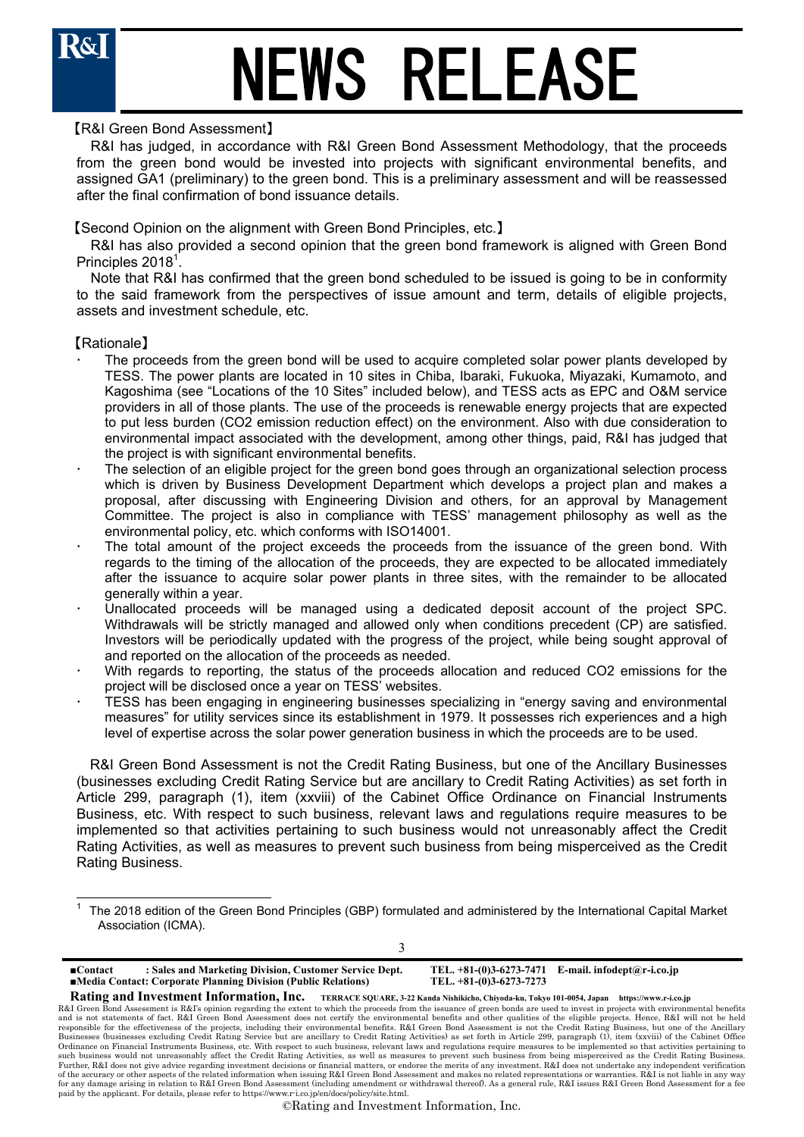

### 【R&I Green Bond Assessment】

R&I has judged, in accordance with R&I Green Bond Assessment Methodology, that the proceeds from the green bond would be invested into projects with significant environmental benefits, and assigned GA1 (preliminary) to the green bond. This is a preliminary assessment and will be reassessed after the final confirmation of bond issuance details.

【Second Opinion on the alignment with Green Bond Principles, etc.】

R&I has also provided a second opinion that the green bond framework is aligned with Green Bond Principles 2018 $^1$ .

Note that R&I has confirmed that the green bond scheduled to be issued is going to be in conformity to the said framework from the perspectives of issue amount and term, details of eligible projects, assets and investment schedule, etc.

### 【Rationale】

- The proceeds from the green bond will be used to acquire completed solar power plants developed by TESS. The power plants are located in 10 sites in Chiba, Ibaraki, Fukuoka, Miyazaki, Kumamoto, and Kagoshima (see "Locations of the 10 Sites" included below), and TESS acts as EPC and O&M service providers in all of those plants. The use of the proceeds is renewable energy projects that are expected to put less burden (CO2 emission reduction effect) on the environment. Also with due consideration to environmental impact associated with the development, among other things, paid, R&I has judged that the project is with significant environmental benefits.
- The selection of an eligible project for the green bond goes through an organizational selection process which is driven by Business Development Department which develops a project plan and makes a proposal, after discussing with Engineering Division and others, for an approval by Management Committee. The project is also in compliance with TESS' management philosophy as well as the environmental policy, etc. which conforms with ISO14001.
- The total amount of the project exceeds the proceeds from the issuance of the green bond. With regards to the timing of the allocation of the proceeds, they are expected to be allocated immediately after the issuance to acquire solar power plants in three sites, with the remainder to be allocated generally within a year.
- Unallocated proceeds will be managed using a dedicated deposit account of the project SPC. Withdrawals will be strictly managed and allowed only when conditions precedent (CP) are satisfied. Investors will be periodically updated with the progress of the project, while being sought approval of and reported on the allocation of the proceeds as needed.
- With regards to reporting, the status of the proceeds allocation and reduced CO2 emissions for the project will be disclosed once a year on TESS' websites.
- TESS has been engaging in engineering businesses specializing in "energy saving and environmental measures" for utility services since its establishment in 1979. It possesses rich experiences and a high level of expertise across the solar power generation business in which the proceeds are to be used.

R&I Green Bond Assessment is not the Credit Rating Business, but one of the Ancillary Businesses (businesses excluding Credit Rating Service but are ancillary to Credit Rating Activities) as set forth in Article 299, paragraph (1), item (xxviii) of the Cabinet Office Ordinance on Financial Instruments Business, etc. With respect to such business, relevant laws and regulations require measures to be implemented so that activities pertaining to such business would not unreasonably affect the Credit Rating Activities, as well as measures to prevent such business from being misperceived as the Credit Rating Business.

 $\overline{a}$ 1 The 2018 edition of the Green Bond Principles (GBP) formulated and administered by the International Capital Market Association (ICMA).

| : Sales and Marketing Division, Customer Service Dept.<br>$\blacksquare$ Contact<br><b>Example 15 Indiana Contact: Corporate Planning Division (Public Relations)</b>             | TEL. $+81-(0)3-6273-7471$ E-mail. infodept@r-i.co.jp<br>TEL. $+81-(0)3-6273-7273$                 |
|-----------------------------------------------------------------------------------------------------------------------------------------------------------------------------------|---------------------------------------------------------------------------------------------------|
| Rating and Investment Information, Inc.                                                                                                                                           | TERRACE SOUARE, 3-22 Kanda Nishikicho, Chiyoda-ku, Tokyo 101-0054, Japan<br>https://www.r-i.co.ip |
| R&I Green Bond Assessment is R&I's opinion regarding the extent to which the proceeds from the issuance of green bonds are used to invest in projects with environmental benefits |                                                                                                   |
| and is not statements of fact. R&I Green Bond Assessment does not certify the environmental benefits and other qualities of the eligible projects. Hence, R&I will not be held    |                                                                                                   |

and is not statements of fact. R&I Green Bond Assessment does not certify the environmental benefits and other qualities of the eligible projects. Hence, R&I will not be held<br>responsible for the effectiveness of the projec Businesses (businesses excluding Credit Rating Service but are ancillary to Credit Rating Activities) as set forth in Article 299, paragraph (1), item (xxviii) of the Cabinet Office<br>Ordinance on Financial Instruments Busin such business would not unreasonably affect the Credit Rating Activities, as well as measures to prevent such business from being misperceived as the Credit Rating Business.<br>Further, R&I does not give advice regarding inve of the accuracy or other aspects of the related information when issuing R&I Green Bond Assessment and makes no related representations or warranties. R&I is not liable in any way for any damage arising in relation to R&I Green Bond Assessment (including amendment or withdrawal thereof). As a general rule, R&I issues R&I Green Bond Assessment for a fee paid by the applicant. For details, please refer to https://www.r-i.co.jp/en/docs/policy/site.html.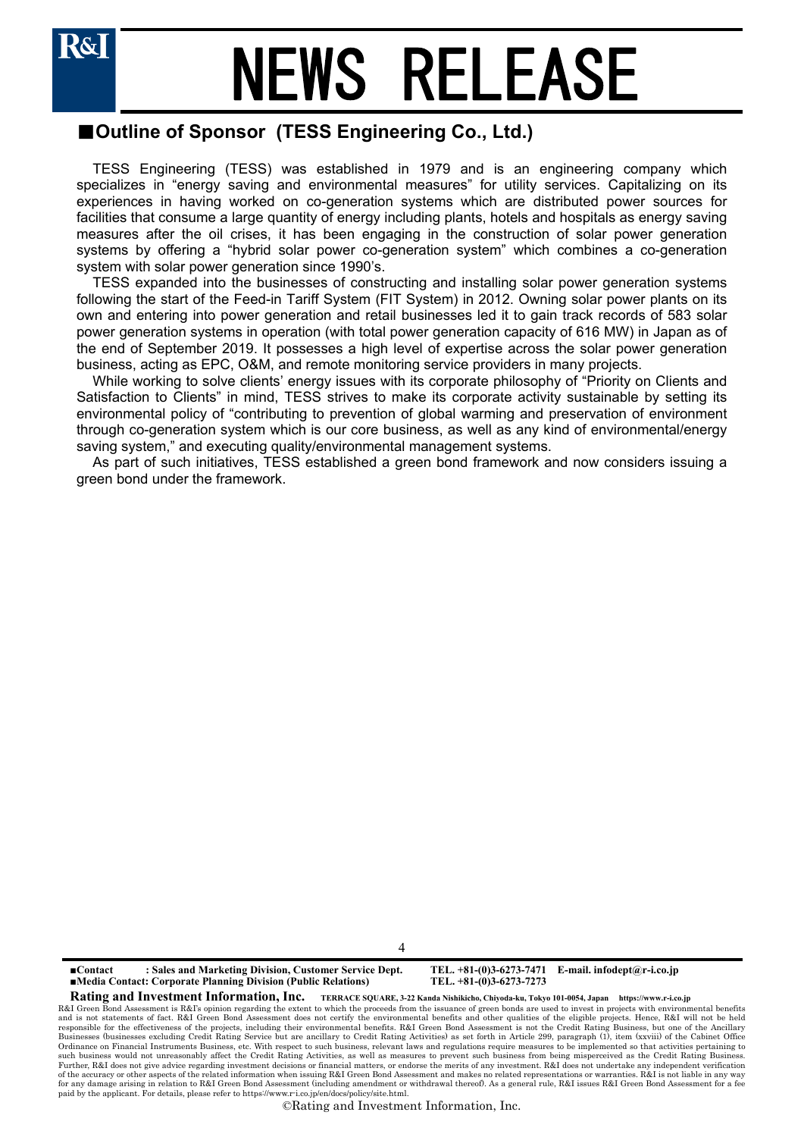## ■**Outline of Sponsor (TESS Engineering Co., Ltd.)**

TESS Engineering (TESS) was established in 1979 and is an engineering company which specializes in "energy saving and environmental measures" for utility services. Capitalizing on its experiences in having worked on co-generation systems which are distributed power sources for facilities that consume a large quantity of energy including plants, hotels and hospitals as energy saving measures after the oil crises, it has been engaging in the construction of solar power generation systems by offering a "hybrid solar power co-generation system" which combines a co-generation system with solar power generation since 1990's.

TESS expanded into the businesses of constructing and installing solar power generation systems following the start of the Feed-in Tariff System (FIT System) in 2012. Owning solar power plants on its own and entering into power generation and retail businesses led it to gain track records of 583 solar power generation systems in operation (with total power generation capacity of 616 MW) in Japan as of the end of September 2019. It possesses a high level of expertise across the solar power generation business, acting as EPC, O&M, and remote monitoring service providers in many projects.

While working to solve clients' energy issues with its corporate philosophy of "Priority on Clients and Satisfaction to Clients" in mind, TESS strives to make its corporate activity sustainable by setting its environmental policy of "contributing to prevention of global warming and preservation of environment through co-generation system which is our core business, as well as any kind of environmental/energy saving system," and executing quality/environmental management systems.

As part of such initiatives, TESS established a green bond framework and now considers issuing a green bond under the framework.

4

**■Contact : Sales and Marketing Division, Customer Service Dept. TEL. +81-(0)3-6273-7471 E-mail. infodept@r-i.co.jp ■Media Contact: Corporate Planning Division (Public Relations)** 

**Rating and Investment Information, Inc. TERRACE SQUARE, 3-22 Kanda Nishikicho, Chiyoda-ku, Tokyo 101-0054, Japan https://www.r-i.co.jp** 

R&I Green Bond Assessment is R&I's opinion regarding the extent to which the proceeds from the issuance of green bonds are used to invest in projects with environmental benefits and is not statements of fact. R&I Green Bond Assessment does not certify the environmental benefits and other qualities of the eligible projects. Hence, R&I will not be held<br>responsible for the effectiveness of the projec Businesses (businesses excluding Credit Rating Service but are ancillary to Credit Rating Activities) as set forth in Article 299, paragraph (1), item (xxviii) of the Cabinet Office<br>Ordinance on Financial Instruments Busin such business would not unreasonably affect the Credit Rating Activities, as well as measures to prevent such business from being misperceived as the Credit Rating Business.<br>Further, R&I does not give advice regarding inve of the accuracy or other aspects of the related information when issuing R&I Green Bond Assessment and makes no related representations or warranties. R&I is not liable in any way for any damage arising in relation to R&I Green Bond Assessment (including amendment or withdrawal thereof). As a general rule, R&I issues R&I Green Bond Assessment for a fee paid by the applicant. For details, please refer to https://www.r-i.co.jp/en/docs/policy/site.html.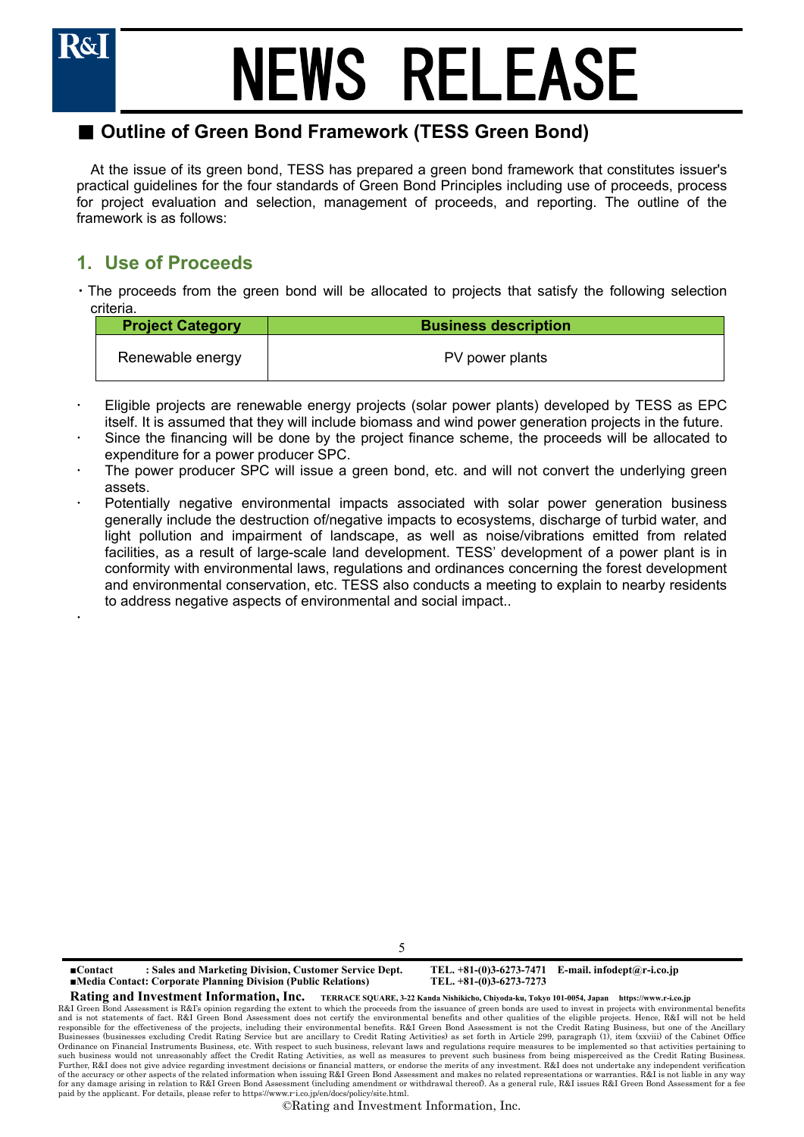

 $\ddot{\phantom{0}}$ 

## NEWS RELEASE

## ■ Outline of Green Bond Framework (TESS Green Bond)

At the issue of its green bond, TESS has prepared a green bond framework that constitutes issuer's practical guidelines for the four standards of Green Bond Principles including use of proceeds, process for project evaluation and selection, management of proceeds, and reporting. The outline of the framework is as follows:

## **1. Use of Proceeds**

・The proceeds from the green bond will be allocated to projects that satisfy the following selection criteria.

| <b>Project Category</b> | <b>Business description</b> |
|-------------------------|-----------------------------|
| Renewable energy        | PV power plants             |

- Eligible projects are renewable energy projects (solar power plants) developed by TESS as EPC itself. It is assumed that they will include biomass and wind power generation projects in the future.
- Since the financing will be done by the project finance scheme, the proceeds will be allocated to expenditure for a power producer SPC.
- The power producer SPC will issue a green bond, etc. and will not convert the underlying green assets.
- Potentially negative environmental impacts associated with solar power generation business generally include the destruction of/negative impacts to ecosystems, discharge of turbid water, and light pollution and impairment of landscape, as well as noise/vibrations emitted from related facilities, as a result of large-scale land development. TESS' development of a power plant is in conformity with environmental laws, regulations and ordinances concerning the forest development and environmental conservation, etc. TESS also conducts a meeting to explain to nearby residents to address negative aspects of environmental and social impact..

5

**■Contact : Sales and Marketing Division, Customer Service Dept. TEL. +81-(0)3-6273-7471 E-mail. infodept@r-i.co.jp ■Media Contact: Corporate Planning Division (Public Relations)** 

**Rating and Investment Information, Inc. TERRACE SQUARE, 3-22 Kanda Nishikicho, Chiyoda-ku, Tokyo 101-0054, Japan https://www.r-i.co.jp** 

R&I Green Bond Assessment is R&I's opinion regarding the extent to which the proceeds from the issuance of green bonds are used to invest in projects with environmental benefits and is not statements of fact. R&I Green Bond Assessment does not certify the environmental benefits and other qualities of the eligible projects. Hence, R&I will not be held<br>responsible for the effectiveness of the projec Businesses (businesses excluding Credit Rating Service but are ancillary to Credit Rating Activities) as set forth in Article 299, paragraph (1), item (xxviii) of the Cabinet Office<br>Ordinance on Financial Instruments Busin such business would not unreasonably affect the Credit Rating Activities, as well as measures to prevent such business from being misperceived as the Credit Rating Business.<br>Further, R&I does not give advice regarding inve of the accuracy or other aspects of the related information when issuing R&I Green Bond Assessment and makes no related representations or warranties. R&I is not liable in any way for any damage arising in relation to R&I Green Bond Assessment (including amendment or withdrawal thereof). As a general rule, R&I issues R&I Green Bond Assessment for a fee paid by the applicant. For details, please refer to https://www.r-i.co.jp/en/docs/policy/site.html.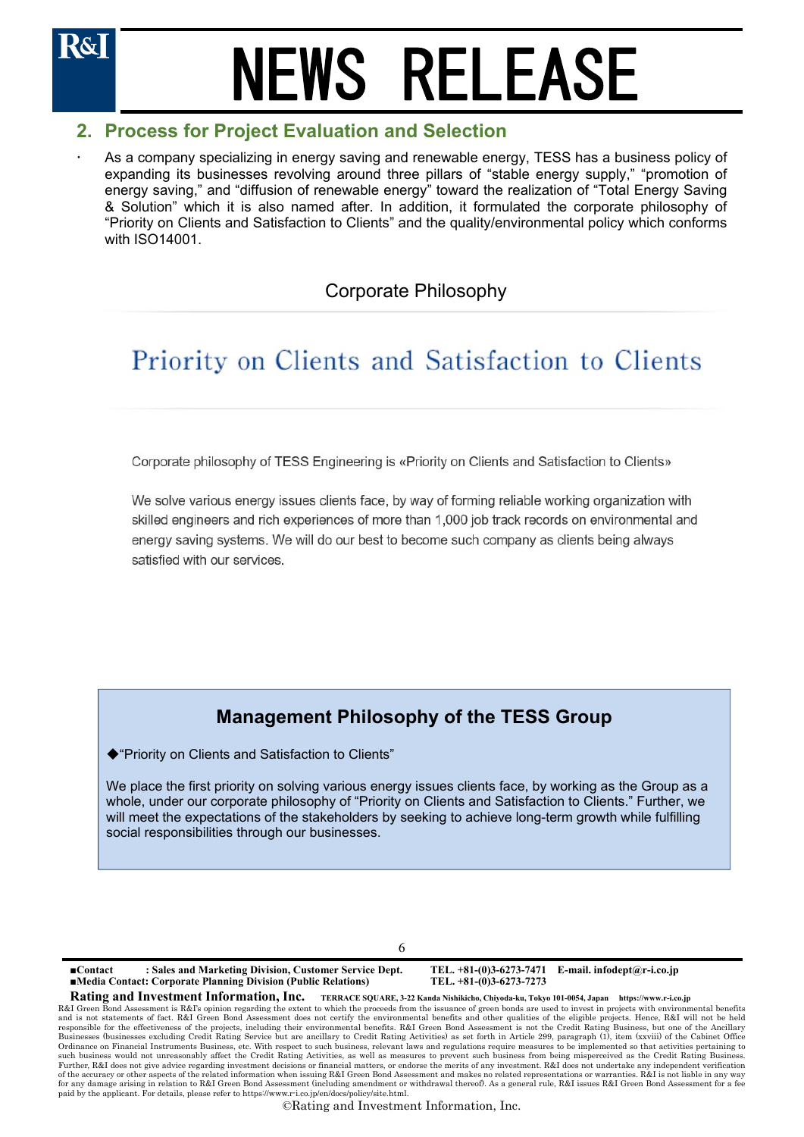## **2. Process for Project Evaluation and Selection**

 As a company specializing in energy saving and renewable energy, TESS has a business policy of expanding its businesses revolving around three pillars of "stable energy supply," "promotion of energy saving," and "diffusion of renewable energy" toward the realization of "Total Energy Saving & Solution" which it is also named after. In addition, it formulated the corporate philosophy of "Priority on Clients and Satisfaction to Clients" and the quality/environmental policy which conforms with ISO14001.

## Corporate Philosophy

## Priority on Clients and Satisfaction to Clients

Corporate philosophy of TESS Engineering is «Priority on Clients and Satisfaction to Clients»

We solve various energy issues clients face, by way of forming reliable working organization with skilled engineers and rich experiences of more than 1,000 job track records on environmental and energy saving systems. We will do our best to become such company as clients being always satisfied with our services.

## **Management Philosophy of the TESS Group**

◆"Priority on Clients and Satisfaction to Clients"

We place the first priority on solving various energy issues clients face, by working as the Group as a whole, under our corporate philosophy of "Priority on Clients and Satisfaction to Clients." Further, we will meet the expectations of the stakeholders by seeking to achieve long-term growth while fulfilling social responsibilities through our businesses.

6

**■Contact : Sales and Marketing Division, Customer Service Dept. TEL. +81-(0)3-6273-7471 E-mail. infodept@r-i.co.jp ■Media Contact: Corporate Planning Division (Public Relations)** 

**Rating and Investment Information, Inc. TERRACE SQUARE, 3-22 Kanda Nishikicho, Chiyoda-ku, Tokyo 101-0054, Japan https://www.r-i.co.jp**  R&I Green Bond Assessment is R&I's opinion regarding the extent to which the proceeds from the issuance of green bonds are used to invest in projects with environmental benefits<br>and is not statements of fact. R&I Green Bon Businesses (businesses excluding Credit Rating Service but are ancillary to Credit Rating Activities) as set forth in Article 299, paragraph (1), item (xxviii) of the Cabinet Office<br>Ordinance on Financial Instruments Busin such business would not unreasonably affect the Credit Rating Activities, as well as measures to prevent such business from being misperceived as the Credit Rating Business.<br>Further, R&I does not give advice regarding inve of the accuracy or other aspects of the related information when issuing R&I Green Bond Assessment and makes no related representations or warranties. R&I is not liable in any way for any damage arising in relation to R&I Green Bond Assessment (including amendment or withdrawal thereof). As a general rule, R&I issues R&I Green Bond Assessment for a fee paid by the applicant. For details, please refer to https://www.r-i.co.jp/en/docs/policy/site.html.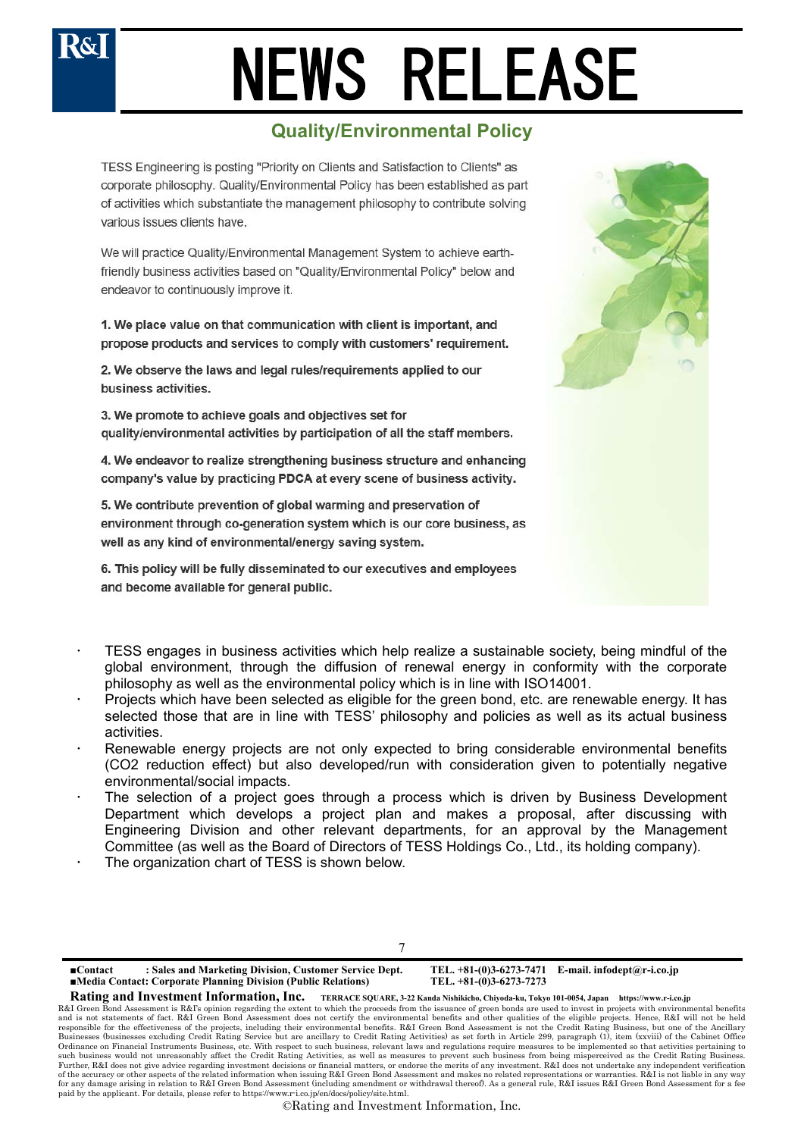## **Quality/Environmental Policy**

TESS Engineering is posting "Priority on Clients and Satisfaction to Clients" as corporate philosophy. Quality/Environmental Policy has been established as part of activities which substantiate the management philosophy to contribute solving various issues clients have.

We will practice Quality/Environmental Management System to achieve earthfriendly business activities based on "Quality/Environmental Policy" below and endeavor to continuously improve it.

1. We place value on that communication with client is important, and propose products and services to comply with customers' requirement.

2. We observe the laws and legal rules/requirements applied to our business activities.

3. We promote to achieve goals and objectives set for quality/environmental activities by participation of all the staff members.

4. We endeavor to realize strengthening business structure and enhancing company's value by practicing PDCA at every scene of business activity.

5. We contribute prevention of global warming and preservation of environment through co-generation system which is our core business, as well as any kind of environmental/energy saving system.

6. This policy will be fully disseminated to our executives and employees and become available for general public.



- TESS engages in business activities which help realize a sustainable society, being mindful of the global environment, through the diffusion of renewal energy in conformity with the corporate philosophy as well as the environmental policy which is in line with ISO14001.
- Projects which have been selected as eligible for the green bond, etc. are renewable energy. It has selected those that are in line with TESS' philosophy and policies as well as its actual business activities.
- Renewable energy projects are not only expected to bring considerable environmental benefits (CO2 reduction effect) but also developed/run with consideration given to potentially negative environmental/social impacts.
- The selection of a project goes through a process which is driven by Business Development Department which develops a project plan and makes a proposal, after discussing with Engineering Division and other relevant departments, for an approval by the Management Committee (as well as the Board of Directors of TESS Holdings Co., Ltd., its holding company).
- The organization chart of TESS is shown below.



**■Contact : Sales and Marketing Division, Customer Service Dept. TEL. +81-(0)3-6273-7471 E-mail. infodept@r-i.co.jp ■Media Contact: Corporate Planning Division (Public Relations)** 

**Rating and Investment Information, Inc. TERRACE SQUARE, 3-22 Kanda Nishikicho, Chiyoda-ku, Tokyo 101-0054, Japan https://www.r-i.co.jp** 

R&I Green Bond Assessment is R&I's opinion regarding the extent to which the proceeds from the issuance of green bonds are used to invest in projects with environmental benefits and is not statements of fact. R&I Green Bond Assessment does not certify the environmental benefits and other qualities of the eligible projects. Hence, R&I will not be held<br>responsible for the effectiveness of the projec Businesses (businesses excluding Credit Rating Service but are ancillary to Credit Rating Activities) as set forth in Article 299, paragraph (1), item (xxviii) of the Cabinet Office<br>Ordinance on Financial Instruments Busin such business would not unreasonably affect the Credit Rating Activities, as well as measures to prevent such business from being misperceived as the Credit Rating Business.<br>Further, R&I does not give advice regarding inve of the accuracy or other aspects of the related information when issuing R&I Green Bond Assessment and makes no related representations or warranties. R&I is not liable in any way for any damage arising in relation to R&I Green Bond Assessment (including amendment or withdrawal thereof). As a general rule, R&I issues R&I Green Bond Assessment for a fee paid by the applicant. For details, please refer to https://www.r-i.co.jp/en/docs/policy/site.html.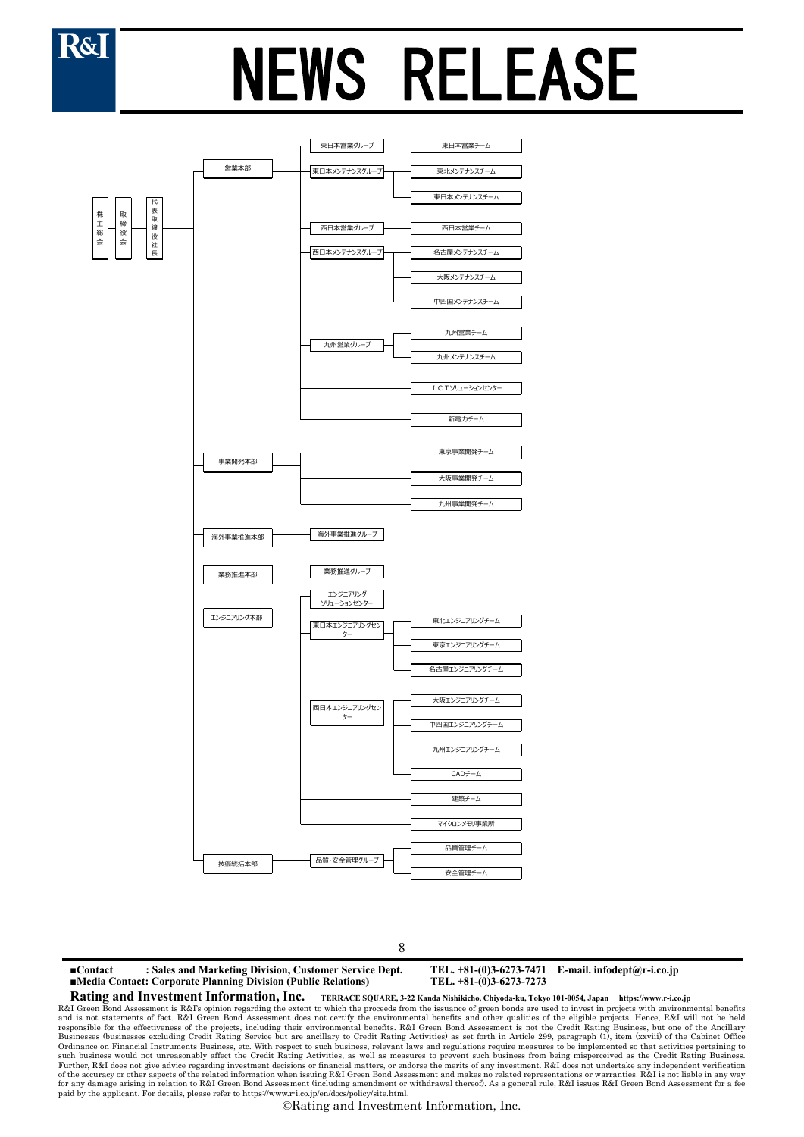



8

**■Contact : Sales and Marketing Division, Customer Service Dept. TEL. +81-(0)3-6273-7471 E-mail. infodept@r-i.co.jp ■Media Contact: Corporate Planning Division (Public Relations) Rating and Investment Information, Inc. TERRACE SQUARE, 3-22 Kanda Nishikicho, Chiyoda-ku, Tokyo 101-0054, Japan https://www.r-i.co.jp** 

R&I Green Bond Assessment is R&I's opinion regarding the extent to which the proceeds from the issuance of green bonds are used to invest in projects with environmental benefits and is not statements of fact. R&I Green Bond Assessment does not certify the environmental benefits and other qualities of the eligible projects. Hence, R&I will not be held<br>responsible for the effectiveness of the projec Businesses (businesses excluding Credit Rating Service but are ancillary to Credit Rating Activities) as set forth in Article 299, paragraph (1), item (xxviii) of the Cabinet Office<br>Ordinance on Financial Instruments Busin such business would not unreasonably affect the Credit Rating Activities, as well as measures to prevent such business from being misperceived as the Credit Rating Business.<br>Further, R&I does not give advice regarding inve of the accuracy or other aspects of the related information when issuing R&I Green Bond Assessment and makes no related representations or warranties. R&I is not liable in any way for any damage arising in relation to R&I Green Bond Assessment (including amendment or withdrawal thereof). As a general rule, R&I issues R&I Green Bond Assessment for a fee paid by the applicant. For details, please refer to https://www.r-i.co.jp/en/docs/policy/site.html.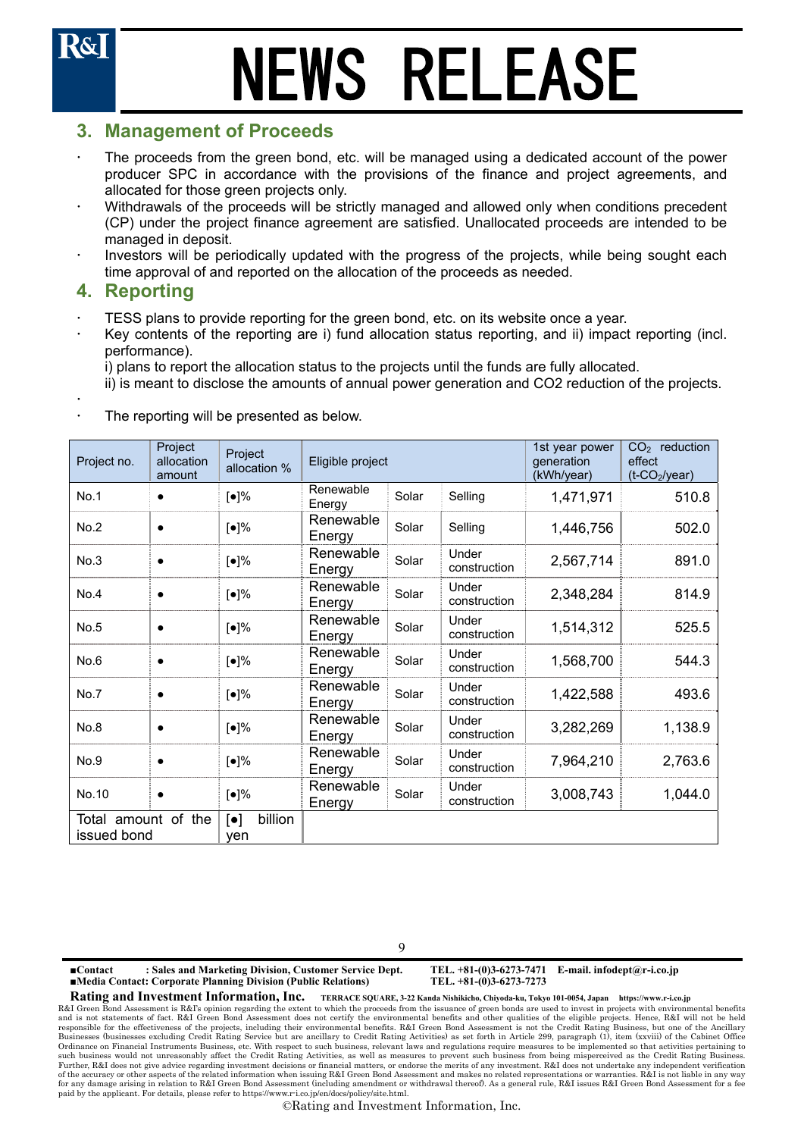### **3. Management of Proceeds**

- The proceeds from the green bond, etc. will be managed using a dedicated account of the power producer SPC in accordance with the provisions of the finance and project agreements, and allocated for those green projects only.
- Withdrawals of the proceeds will be strictly managed and allowed only when conditions precedent (CP) under the project finance agreement are satisfied. Unallocated proceeds are intended to be managed in deposit.
- Investors will be periodically updated with the progress of the projects, while being sought each time approval of and reported on the allocation of the proceeds as needed.

### **4. Reporting**

- TESS plans to provide reporting for the green bond, etc. on its website once a year.
- Key contents of the reporting are i) fund allocation status reporting, and ii) impact reporting (incl. performance).

i) plans to report the allocation status to the projects until the funds are fully allocated.

ii) is meant to disclose the amounts of annual power generation and CO2 reduction of the projects.

 $\ddot{\phantom{0}}$ The reporting will be presented as below.

| Project no.                        | Project<br>allocation<br>amount | Project<br>allocation %                     | Eligible project    |       |                       | 1st year power<br>generation<br>(kWh/year) | $CO2$ reduction<br>effect<br>$(t$ -CO <sub>2</sub> /year) |
|------------------------------------|---------------------------------|---------------------------------------------|---------------------|-------|-----------------------|--------------------------------------------|-----------------------------------------------------------|
| No.1                               | $\bullet$                       | $\lbrack \bullet \rbrack\%$                 | Renewable<br>Energy | Solar | Selling               | 1,471,971                                  | 510.8                                                     |
| No.2                               | $\bullet$                       | [•]%                                        | Renewable<br>Energy | Solar | Selling               | 1,446,756                                  | 502.0                                                     |
| No.3                               | $\bullet$                       | $\lbrack \bullet \rbrack\%$                 | Renewable<br>Energy | Solar | Under<br>construction | 2,567,714                                  | 891.0                                                     |
| No.4                               | $\bullet$                       | $\lbrack \bullet \rbrack\%$                 | Renewable<br>Energy | Solar | Under<br>construction | 2,348,284                                  | 814.9                                                     |
| No.5                               | $\bullet$                       | [•]%                                        | Renewable<br>Energy | Solar | Under<br>construction | 1,514,312                                  | 525.5                                                     |
| No.6                               | $\bullet$                       | [•]%                                        | Renewable<br>Energy | Solar | Under<br>construction | 1,568,700                                  | 544.3                                                     |
| No.7                               | $\bullet$                       | [•]%                                        | Renewable<br>Energy | Solar | Under<br>construction | 1,422,588                                  | 493.6                                                     |
| No.8                               | $\bullet$                       | $[•]\%$                                     | Renewable<br>Energy | Solar | Under<br>construction | 3,282,269                                  | 1,138.9                                                   |
| No.9                               | $\bullet$                       | [•]%                                        | Renewable<br>Energy | Solar | Under<br>construction | 7,964,210                                  | 2,763.6                                                   |
| No.10                              | $\bullet$                       | [●]%                                        | Renewable<br>Energy | Solar | Under<br>construction | 3,008,743                                  | 1,044.0                                                   |
| Total amount of the<br>issued bond |                                 | billion<br>$\lbrack \bullet \rbrack$<br>ven |                     |       |                       |                                            |                                                           |

 $\overline{Q}$ 

**■Contact : Sales and Marketing Division, Customer Service Dept. TEL. +81-(0)3-6273-7471 E-mail. infodept@r-i.co.jp ■Media Contact: Corporate Planning Division (Public Relations)** 

**Rating and Investment Information, Inc. TERRACE SQUARE, 3-22 Kanda Nishikicho, Chiyoda-ku, Tokyo 101-0054, Japan https://www.r-i.co.jp**  R&I Green Bond Assessment is R&I's opinion regarding the extent to which the proceeds from the issuance of green bonds are used to invest in projects with environmental benefits and is not statements of fact. R&I Green Bond Assessment does not certify the environmental benefits and other qualities of the eligible projects. Hence, R&I will not be held<br>responsible for the effectiveness of the projec Businesses (businesses excluding Credit Rating Service but are ancillary to Credit Rating Activities) as set forth in Article 299, paragraph (1), item (xxviii) of the Cabinet Office<br>Ordinance on Financial Instruments Busin such business would not unreasonably affect the Credit Rating Activities, as well as measures to prevent such business from being misperceived as the Credit Rating Business.<br>Further, R&I does not give advice regarding inve of the accuracy or other aspects of the related information when issuing R&I Green Bond Assessment and makes no related representations or warranties. R&I is not liable in any way for any damage arising in relation to R&I Green Bond Assessment (including amendment or withdrawal thereof). As a general rule, R&I issues R&I Green Bond Assessment for a fee paid by the applicant. For details, please refer to https://www.r-i.co.jp/en/docs/policy/site.html.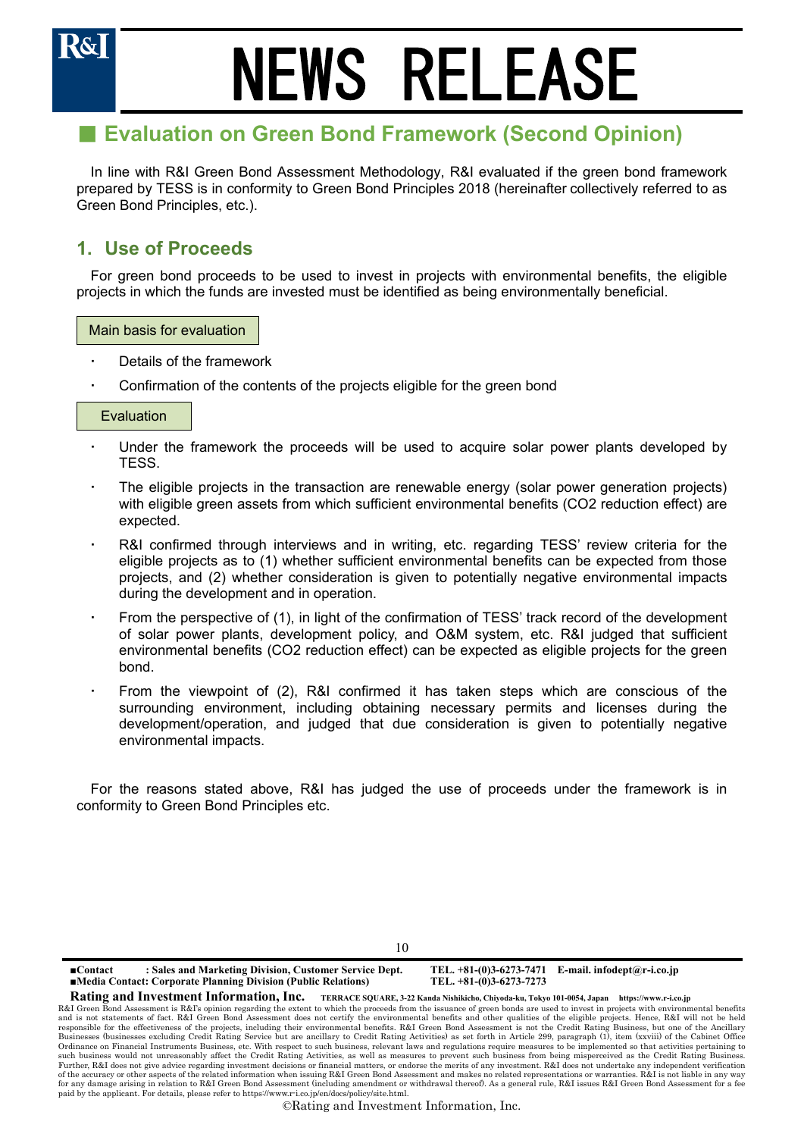

## ■ Evaluation on Green Bond Framework (Second Opinion)

In line with R&I Green Bond Assessment Methodology, R&I evaluated if the green bond framework prepared by TESS is in conformity to Green Bond Principles 2018 (hereinafter collectively referred to as Green Bond Principles, etc.).

## **1. Use of Proceeds**

For green bond proceeds to be used to invest in projects with environmental benefits, the eligible projects in which the funds are invested must be identified as being environmentally beneficial.

Main basis for evaluation

- Details of the framework
- Confirmation of the contents of the projects eligible for the green bond

### Evaluation

- Under the framework the proceeds will be used to acquire solar power plants developed by TESS.
- The eligible projects in the transaction are renewable energy (solar power generation projects) with eligible green assets from which sufficient environmental benefits (CO2 reduction effect) are expected.
- R&I confirmed through interviews and in writing, etc. regarding TESS' review criteria for the eligible projects as to (1) whether sufficient environmental benefits can be expected from those projects, and (2) whether consideration is given to potentially negative environmental impacts during the development and in operation.
- From the perspective of (1), in light of the confirmation of TESS' track record of the development of solar power plants, development policy, and O&M system, etc. R&I judged that sufficient environmental benefits (CO2 reduction effect) can be expected as eligible projects for the green bond.
- From the viewpoint of (2), R&I confirmed it has taken steps which are conscious of the surrounding environment, including obtaining necessary permits and licenses during the development/operation, and judged that due consideration is given to potentially negative environmental impacts.

For the reasons stated above, R&I has judged the use of proceeds under the framework is in conformity to Green Bond Principles etc.

10

**■Contact : Sales and Marketing Division, Customer Service Dept. TEL. +81-(0)3-6273-7471 E-mail. infodept@r-i.co.jp ■Media Contact: Corporate Planning Division (Public Relations)** 

**Rating and Investment Information, Inc. TERRACE SQUARE, 3-22 Kanda Nishikicho, Chiyoda-ku, Tokyo 101-0054, Japan https://www.r-i.co.jp** 

R&I Green Bond Assessment is R&I's opinion regarding the extent to which the proceeds from the issuance of green bonds are used to invest in projects with environmental benefits and is not statements of fact. R&I Green Bond Assessment does not certify the environmental benefits and other qualities of the eligible projects. Hence, R&I will not be held<br>responsible for the effectiveness of the projec Businesses (businesses excluding Credit Rating Service but are ancillary to Credit Rating Activities) as set forth in Article 299, paragraph (1), item (xxviii) of the Cabinet Office<br>Ordinance on Financial Instruments Busin such business would not unreasonably affect the Credit Rating Activities, as well as measures to prevent such business from being misperceived as the Credit Rating Business.<br>Further, R&I does not give advice regarding inve of the accuracy or other aspects of the related information when issuing R&I Green Bond Assessment and makes no related representations or warranties. R&I is not liable in any way for any damage arising in relation to R&I Green Bond Assessment (including amendment or withdrawal thereof). As a general rule, R&I issues R&I Green Bond Assessment for a fee paid by the applicant. For details, please refer to https://www.r-i.co.jp/en/docs/policy/site.html.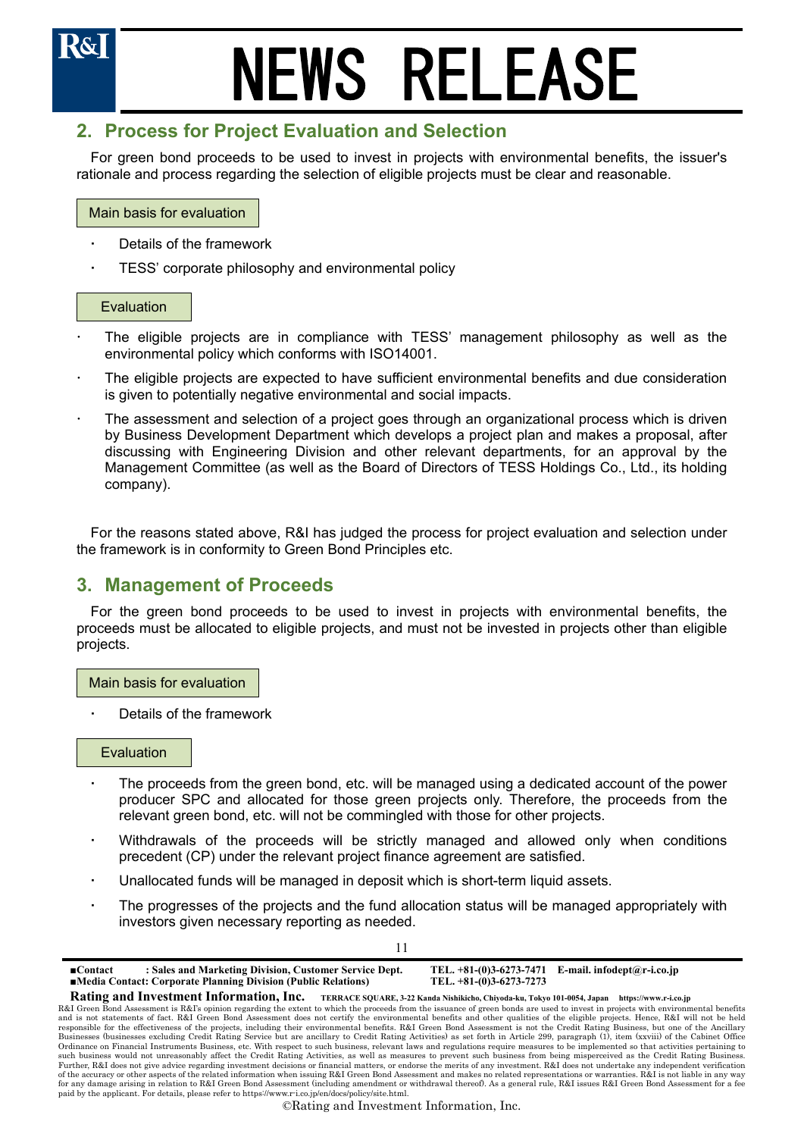## **2. Process for Project Evaluation and Selection**

For green bond proceeds to be used to invest in projects with environmental benefits, the issuer's rationale and process regarding the selection of eligible projects must be clear and reasonable.

### Main basis for evaluation

- Details of the framework
- TESS' corporate philosophy and environmental policy

### Evaluation

- The eligible projects are in compliance with TESS' management philosophy as well as the environmental policy which conforms with ISO14001.
- The eligible projects are expected to have sufficient environmental benefits and due consideration is given to potentially negative environmental and social impacts.
- The assessment and selection of a project goes through an organizational process which is driven by Business Development Department which develops a project plan and makes a proposal, after discussing with Engineering Division and other relevant departments, for an approval by the Management Committee (as well as the Board of Directors of TESS Holdings Co., Ltd., its holding company).

For the reasons stated above, R&I has judged the process for project evaluation and selection under the framework is in conformity to Green Bond Principles etc.

### **3. Management of Proceeds**

For the green bond proceeds to be used to invest in projects with environmental benefits, the proceeds must be allocated to eligible projects, and must not be invested in projects other than eligible projects.

Main basis for evaluation

Details of the framework

### Evaluation

- The proceeds from the green bond, etc. will be managed using a dedicated account of the power producer SPC and allocated for those green projects only. Therefore, the proceeds from the relevant green bond, etc. will not be commingled with those for other projects.
- Withdrawals of the proceeds will be strictly managed and allowed only when conditions precedent (CP) under the relevant project finance agreement are satisfied.
- Unallocated funds will be managed in deposit which is short-term liquid assets.
- The progresses of the projects and the fund allocation status will be managed appropriately with investors given necessary reporting as needed.

| : Sales and Marketing Division, Customer Service Dept.<br>$\blacksquare$ Contact<br><b>Example 15 India</b> Contact: Corporate Planning Division (Public Relations)                                                                                                                                                                                                 | TEL. $+81-(0)3-6273-7273$ | TEL. $+81-(0)3-6273-7471$ E-mail. infodept@r-i.co.jp                                           |
|---------------------------------------------------------------------------------------------------------------------------------------------------------------------------------------------------------------------------------------------------------------------------------------------------------------------------------------------------------------------|---------------------------|------------------------------------------------------------------------------------------------|
| Rating and Investment Information, Inc.                                                                                                                                                                                                                                                                                                                             |                           | TERRACE SQUARE, 3-22 Kanda Nishikicho, Chiyoda-ku, Tokyo 101-0054, Japan https://www.r-i.co.jp |
| R&I Green Bond Assessment is R&I's opinion regarding the extent to which the proceeds from the issuance of green bonds are used to invest in projects with environmental benefits<br>and is not statements of fact. R&I Green Bond Assessment does not certify the environmental benefits and other qualities of the eligible projects. Hence, R&I will not be held |                           |                                                                                                |
| responsible for the effectiveness of the projects, including their environmental benefits. R&I Green Bond Assessment is not the Credit Rating Business, but one of the Ancillary                                                                                                                                                                                    |                           |                                                                                                |

11

responsible for the effectiveness of the projects, including their environmental benefits. R&I Green Bond Assessment is not the Credit Rating Business, but one of the Ancillary<br>Businesses (businesses excluding Credit Ratin such business would not unreasonably affect the Credit Rating Activities, as well as measures to prevent such business from being misperceived as the Credit Rating Business.<br>Further, R&I does not give advice regarding inve of the accuracy or other aspects of the related information when issuing R&I Green Bond Assessment and makes no related representations or warranties. R&I is not liable in any way for any damage arising in relation to R&I Green Bond Assessment (including amendment or withdrawal thereof). As a general rule, R&I issues R&I Green Bond Assessment for a fee paid by the applicant. For details, please refer to https://www.r-i.co.jp/en/docs/policy/site.html.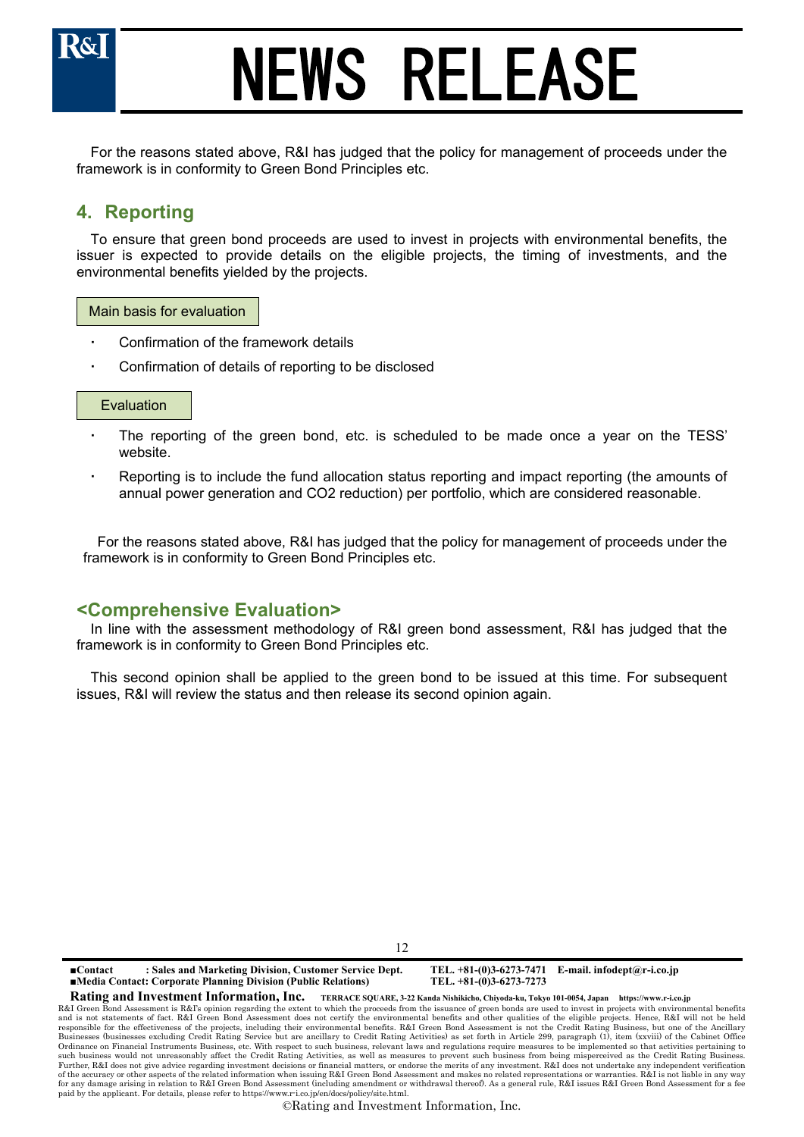

For the reasons stated above, R&I has judged that the policy for management of proceeds under the framework is in conformity to Green Bond Principles etc.

## **4. Reporting**

To ensure that green bond proceeds are used to invest in projects with environmental benefits, the issuer is expected to provide details on the eligible projects, the timing of investments, and the environmental benefits yielded by the projects.

### Main basis for evaluation

- Confirmation of the framework details
- Confirmation of details of reporting to be disclosed

### Evaluation

- The reporting of the green bond, etc. is scheduled to be made once a year on the TESS' website.
- Reporting is to include the fund allocation status reporting and impact reporting (the amounts of annual power generation and CO2 reduction) per portfolio, which are considered reasonable.

For the reasons stated above, R&I has judged that the policy for management of proceeds under the framework is in conformity to Green Bond Principles etc.

### **<Comprehensive Evaluation>**

In line with the assessment methodology of R&I green bond assessment, R&I has judged that the framework is in conformity to Green Bond Principles etc.

This second opinion shall be applied to the green bond to be issued at this time. For subsequent issues, R&I will review the status and then release its second opinion again.

12

**■Contact : Sales and Marketing Division, Customer Service Dept. TEL. +81-(0)3-6273-7471 E-mail. infodept@r-i.co.jp ■Media Contact: Corporate Planning Division (Public Relations)** 

**Rating and Investment Information, Inc. TERRACE SQUARE, 3-22 Kanda Nishikicho, Chiyoda-ku, Tokyo 101-0054, Japan https://www.r-i.co.jp** 

R&I Green Bond Assessment is R&I's opinion regarding the extent to which the proceeds from the issuance of green bonds are used to invest in projects with environmental benefits and is not statements of fact. R&I Green Bond Assessment does not certify the environmental benefits and other qualities of the eligible projects. Hence, R&I will not be held<br>responsible for the effectiveness of the projec Businesses (businesses excluding Credit Rating Service but are ancillary to Credit Rating Activities) as set forth in Article 299, paragraph (1), item (xxviii) of the Cabinet Office<br>Ordinance on Financial Instruments Busin such business would not unreasonably affect the Credit Rating Activities, as well as measures to prevent such business from being misperceived as the Credit Rating Business.<br>Further, R&I does not give advice regarding inve of the accuracy or other aspects of the related information when issuing R&I Green Bond Assessment and makes no related representations or warranties. R&I is not liable in any way for any damage arising in relation to R&I Green Bond Assessment (including amendment or withdrawal thereof). As a general rule, R&I issues R&I Green Bond Assessment for a fee paid by the applicant. For details, please refer to https://www.r-i.co.jp/en/docs/policy/site.html.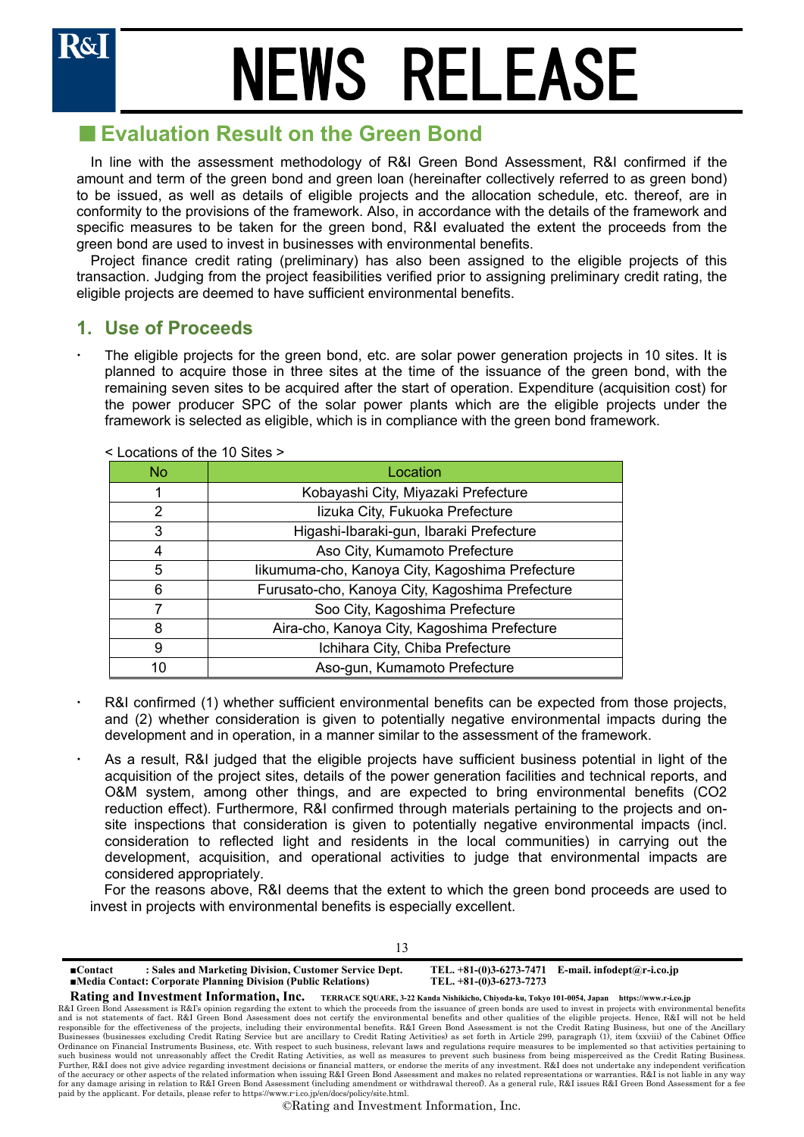## ■ Evaluation Result on the Green Bond

In line with the assessment methodology of R&I Green Bond Assessment, R&I confirmed if the amount and term of the green bond and green loan (hereinafter collectively referred to as green bond) to be issued, as well as details of eligible projects and the allocation schedule, etc. thereof, are in conformity to the provisions of the framework. Also, in accordance with the details of the framework and specific measures to be taken for the green bond, R&I evaluated the extent the proceeds from the green bond are used to invest in businesses with environmental benefits.

Project finance credit rating (preliminary) has also been assigned to the eligible projects of this transaction. Judging from the project feasibilities verified prior to assigning preliminary credit rating, the eligible projects are deemed to have sufficient environmental benefits.

### **1. Use of Proceeds**

 The eligible projects for the green bond, etc. are solar power generation projects in 10 sites. It is planned to acquire those in three sites at the time of the issuance of the green bond, with the remaining seven sites to be acquired after the start of operation. Expenditure (acquisition cost) for the power producer SPC of the solar power plants which are the eligible projects under the framework is selected as eligible, which is in compliance with the green bond framework.

| No. | Location                                        |
|-----|-------------------------------------------------|
|     | Kobayashi City, Miyazaki Prefecture             |
| 2   | lizuka City, Fukuoka Prefecture                 |
| 3   | Higashi-Ibaraki-gun, Ibaraki Prefecture         |
| 4   | Aso City, Kumamoto Prefecture                   |
| 5   | likumuma-cho, Kanoya City, Kagoshima Prefecture |
| 6   | Furusato-cho, Kanoya City, Kagoshima Prefecture |
|     | Soo City, Kagoshima Prefecture                  |
| 8   | Aira-cho, Kanoya City, Kagoshima Prefecture     |
| 9   | Ichihara City, Chiba Prefecture                 |
| 10  | Aso-gun, Kumamoto Prefecture                    |

### < Locations of the 10 Sites >

- R&I confirmed (1) whether sufficient environmental benefits can be expected from those projects, and (2) whether consideration is given to potentially negative environmental impacts during the development and in operation, in a manner similar to the assessment of the framework.
- As a result, R&I judged that the eligible projects have sufficient business potential in light of the acquisition of the project sites, details of the power generation facilities and technical reports, and O&M system, among other things, and are expected to bring environmental benefits (CO2 reduction effect). Furthermore, R&I confirmed through materials pertaining to the projects and onsite inspections that consideration is given to potentially negative environmental impacts (incl. consideration to reflected light and residents in the local communities) in carrying out the development, acquisition, and operational activities to judge that environmental impacts are considered appropriately.

For the reasons above, R&I deems that the extent to which the green bond proceeds are used to invest in projects with environmental benefits is especially excellent.

| : Sales and Marketing Division, Customer Service Dept.<br>$\blacksquare$ Contact<br>■Media Contact: Corporate Planning Division (Public Relations)                                    | TEL. $+81-(0)3-6273-7273$                                                | TEL. $+81-(0)3-6273-7471$ E-mail. infodept@r-i.co.jp |
|---------------------------------------------------------------------------------------------------------------------------------------------------------------------------------------|--------------------------------------------------------------------------|------------------------------------------------------|
| Rating and Investment Information, Inc.                                                                                                                                               | TERRACE SQUARE, 3-22 Kanda Nishikicho, Chiyoda-ku, Tokyo 101-0054, Japan | https://www.r-i.co.jp                                |
| R&I Green Bond Assessment is R&I's opinion regarding the extent to which the proceeds from the issuance of green bonds are used to invest in projects with environmental benefits     |                                                                          |                                                      |
| and is not statements of fact. R&I Green Bond Assessment does not certify the environmental benefits and other qualities of the eligible projects. Hence, R&I will not be held        |                                                                          |                                                      |
| responsible for the effectiveness of the projects, including their environmental benefits. R&I Green Bond Assessment is not the Credit Rating Business, but one of the Ancillary      |                                                                          |                                                      |
| Businesses (businesses excluding Credit Rating Service but are ancillary to Credit Rating Activities) as set forth in Article 299, paragraph (1), item (xxviii) of the Cabinet Office |                                                                          |                                                      |
| Ordinance on Financial Instruments Business, etc. With respect to such business, relevant laws and regulations require measures to be implemented so that activities pertaining to    |                                                                          |                                                      |
| such business would not unreasonably affect the Credit Rating Activities, as well as measures to prevent such business from being misperceived as the Credit Rating Business.         |                                                                          |                                                      |
| Further, R&I does not give advice regarding investment decisions or financial matters, or endorse the merits of any investment. R&I does not undertake any independent verification   |                                                                          |                                                      |

13

of the accuracy or other aspects of the related information when issuing R&I Green Bond Assessment and makes no related representations or warranties. R&I is not liable in any way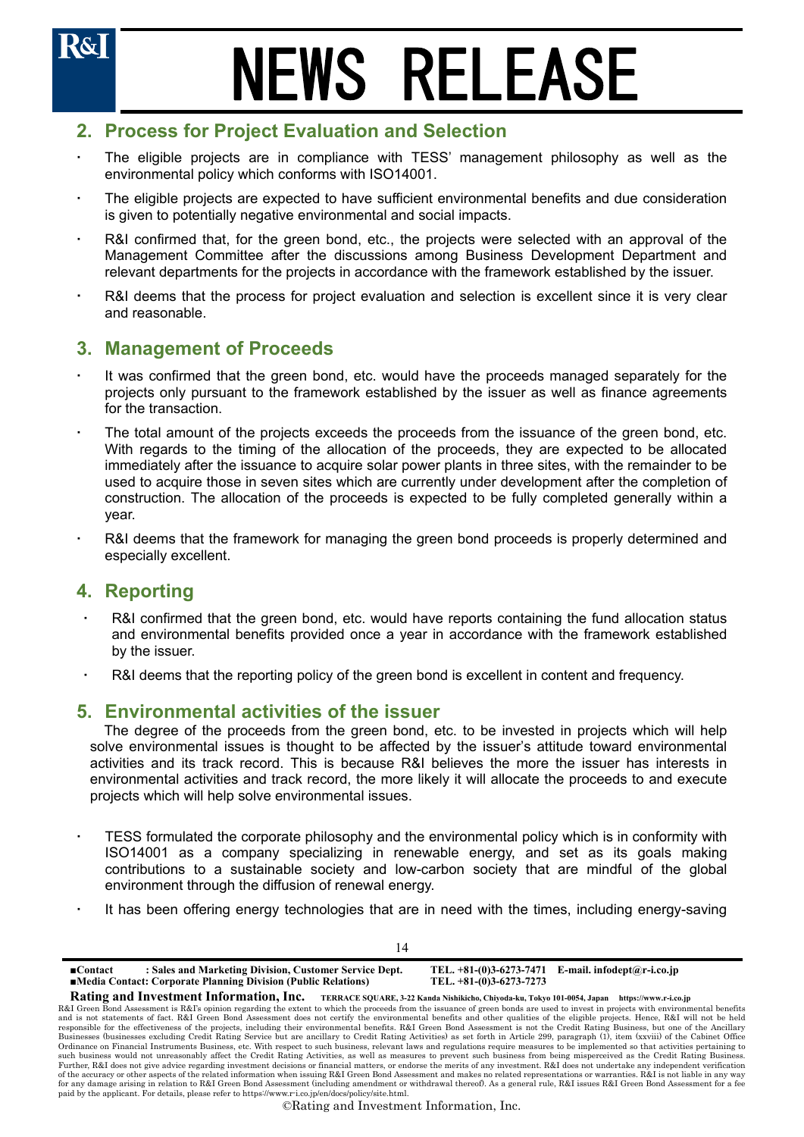## **2. Process for Project Evaluation and Selection**

- The eligible projects are in compliance with TESS' management philosophy as well as the environmental policy which conforms with ISO14001.
- The eligible projects are expected to have sufficient environmental benefits and due consideration is given to potentially negative environmental and social impacts.
- R&I confirmed that, for the green bond, etc., the projects were selected with an approval of the Management Committee after the discussions among Business Development Department and relevant departments for the projects in accordance with the framework established by the issuer.
- R&I deems that the process for project evaluation and selection is excellent since it is very clear and reasonable.

### **3. Management of Proceeds**

- It was confirmed that the green bond, etc. would have the proceeds managed separately for the projects only pursuant to the framework established by the issuer as well as finance agreements for the transaction.
- The total amount of the projects exceeds the proceeds from the issuance of the green bond, etc. With regards to the timing of the allocation of the proceeds, they are expected to be allocated immediately after the issuance to acquire solar power plants in three sites, with the remainder to be used to acquire those in seven sites which are currently under development after the completion of construction. The allocation of the proceeds is expected to be fully completed generally within a year.
- R&I deems that the framework for managing the green bond proceeds is properly determined and especially excellent.

### **4. Reporting**

- R&I confirmed that the green bond, etc. would have reports containing the fund allocation status and environmental benefits provided once a year in accordance with the framework established by the issuer.
- R&I deems that the reporting policy of the green bond is excellent in content and frequency.

### **5. Environmental activities of the issuer**

The degree of the proceeds from the green bond, etc. to be invested in projects which will help solve environmental issues is thought to be affected by the issuer's attitude toward environmental activities and its track record. This is because R&I believes the more the issuer has interests in environmental activities and track record, the more likely it will allocate the proceeds to and execute projects which will help solve environmental issues.

- TESS formulated the corporate philosophy and the environmental policy which is in conformity with ISO14001 as a company specializing in renewable energy, and set as its goals making contributions to a sustainable society and low-carbon society that are mindful of the global environment through the diffusion of renewal energy.
- It has been offering energy technologies that are in need with the times, including energy-saving

14

**■Contact : Sales and Marketing Division, Customer Service Dept. TEL. +81-(0)3-6273-7471 E-mail. infodept@r-i.co.jp ■Media Contact: Corporate Planning Division (Public Relations) Rating and Investment Information, Inc. TERRACE SQUARE, 3-22 Kanda Nishikicho, Chiyoda-ku, Tokyo 101-0054, Japan https://www.r-i.co.jp** 

R&I Green Bond Assessment is R&I's opinion regarding the extent to which the proceeds from the issuance of green bonds are used to invest in projects with environmental benefits and is not statements of fact. R&I Green Bond Assessment does not certify the environmental benefits and other qualities of the eligible projects. Hence, R&I will not be held<br>responsible for the effectiveness of the projec Businesses (businesses excluding Credit Rating Service but are ancillary to Credit Rating Activities) as set forth in Article 299, paragraph (1), item (xxviii) of the Cabinet Office<br>Ordinance on Financial Instruments Busin such business would not unreasonably affect the Credit Rating Activities, as well as measures to prevent such business from being misperceived as the Credit Rating Business.<br>Further, R&I does not give advice regarding inve of the accuracy or other aspects of the related information when issuing R&I Green Bond Assessment and makes no related representations or warranties. R&I is not liable in any way for any damage arising in relation to R&I Green Bond Assessment (including amendment or withdrawal thereof). As a general rule, R&I issues R&I Green Bond Assessment for a fee paid by the applicant. For details, please refer to https://www.r-i.co.jp/en/docs/policy/site.html.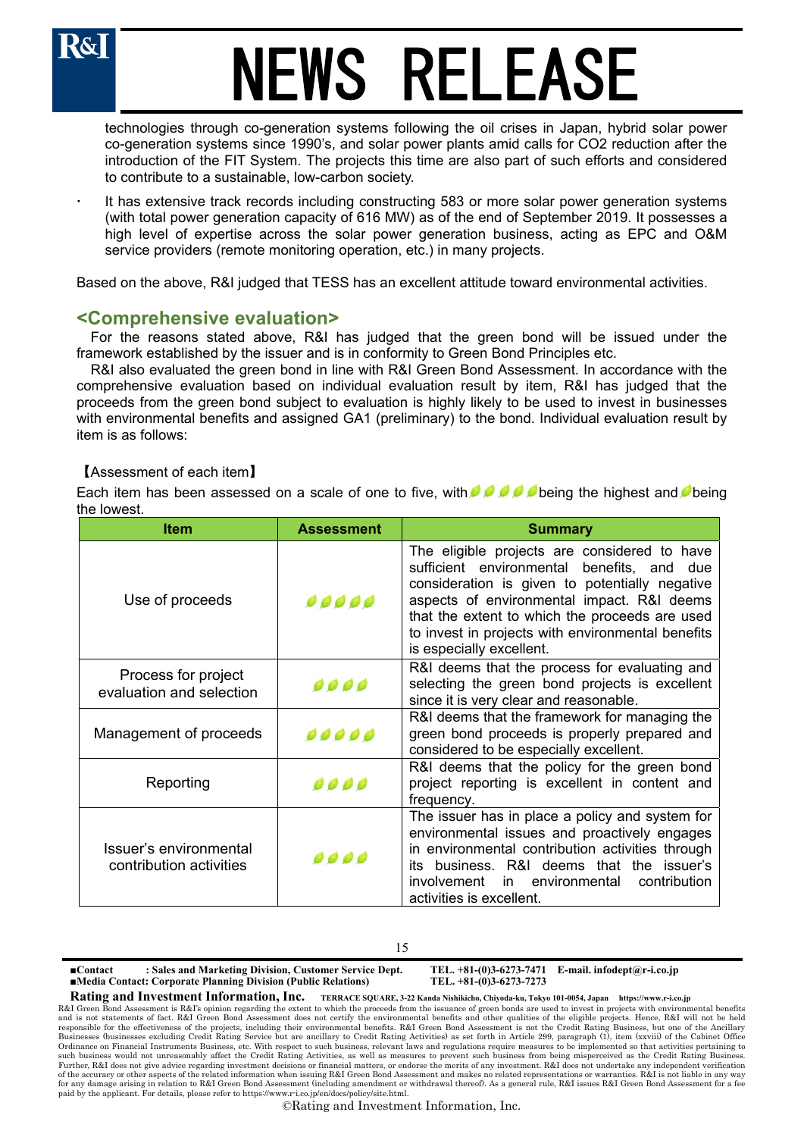technologies through co-generation systems following the oil crises in Japan, hybrid solar power co-generation systems since 1990's, and solar power plants amid calls for CO2 reduction after the introduction of the FIT System. The projects this time are also part of such efforts and considered to contribute to a sustainable, low-carbon society.

 It has extensive track records including constructing 583 or more solar power generation systems (with total power generation capacity of 616 MW) as of the end of September 2019. It possesses a high level of expertise across the solar power generation business, acting as EPC and O&M service providers (remote monitoring operation, etc.) in many projects.

Based on the above, R&I judged that TESS has an excellent attitude toward environmental activities.

### **<Comprehensive evaluation>**

For the reasons stated above, R&I has judged that the green bond will be issued under the framework established by the issuer and is in conformity to Green Bond Principles etc.

R&I also evaluated the green bond in line with R&I Green Bond Assessment. In accordance with the comprehensive evaluation based on individual evaluation result by item, R&I has judged that the proceeds from the green bond subject to evaluation is highly likely to be used to invest in businesses with environmental benefits and assigned GA1 (preliminary) to the bond. Individual evaluation result by item is as follows:

### 【Assessment of each item】

Each item has been assessed on a scale of one to five, with **being the bighest and being the highest** and **b**eing the lowest.

| <b>Item</b>                                       | <b>Assessment</b>                                                                                                                                                                                                                                                                                                                    | <b>Summary</b>                                                                                                                                                                                                                                                                     |  |  |
|---------------------------------------------------|--------------------------------------------------------------------------------------------------------------------------------------------------------------------------------------------------------------------------------------------------------------------------------------------------------------------------------------|------------------------------------------------------------------------------------------------------------------------------------------------------------------------------------------------------------------------------------------------------------------------------------|--|--|
| Use of proceeds                                   | The eligible projects are considered to have<br>sufficient environmental<br>benefits, and<br>consideration is given to potentially negative<br>aspects of environmental impact. R&I deems<br>,,,,<br>that the extent to which the proceeds are used<br>to invest in projects with environmental benefits<br>is especially excellent. |                                                                                                                                                                                                                                                                                    |  |  |
| Process for project<br>evaluation and selection   | 0000                                                                                                                                                                                                                                                                                                                                 | R&I deems that the process for evaluating and<br>selecting the green bond projects is excellent<br>since it is very clear and reasonable.                                                                                                                                          |  |  |
| Management of proceeds                            | 00000                                                                                                                                                                                                                                                                                                                                | R&I deems that the framework for managing the<br>green bond proceeds is properly prepared and<br>considered to be especially excellent.                                                                                                                                            |  |  |
| Reporting                                         | 0000                                                                                                                                                                                                                                                                                                                                 | R&I deems that the policy for the green bond<br>project reporting is excellent in content and<br>frequency.                                                                                                                                                                        |  |  |
| Issuer's environmental<br>contribution activities | 0000                                                                                                                                                                                                                                                                                                                                 | The issuer has in place a policy and system for<br>environmental issues and proactively engages<br>in environmental contribution activities through<br>business. R&I deems that the issuer's<br>its<br>in environmental<br>contribution<br>involvement<br>activities is excellent. |  |  |

#### 15

**■Contact : Sales and Marketing Division, Customer Service Dept. TEL. +81-(0)3-6273-7471 E-mail. infodept@r-i.co.jp ■Media Contact: Corporate Planning Division (Public Relations)** 

**Rating and Investment Information, Inc. TERRACE SQUARE, 3-22 Kanda Nishikicho, Chiyoda-ku, Tokyo 101-0054, Japan https://www.r-i.co.jp** 

R&I Green Bond Assessment is R&I's opinion regarding the extent to which the proceeds from the issuance of green bonds are used to invest in projects with environmental benefits and is not statements of fact. R&I Green Bond Assessment does not certify the environmental benefits and other qualities of the eligible projects. Hence, R&I will not be held<br>responsible for the effectiveness of the projec Businesses (businesses excluding Credit Rating Service but are ancillary to Credit Rating Activities) as set forth in Article 299, paragraph (1), item (xxviii) of the Cabinet Office<br>Ordinance on Financial Instruments Busin such business would not unreasonably affect the Credit Rating Activities, as well as measures to prevent such business from being misperceived as the Credit Rating Business.<br>Further, R&I does not give advice regarding inve of the accuracy or other aspects of the related information when issuing R&I Green Bond Assessment and makes no related representations or warranties. R&I is not liable in any way for any damage arising in relation to R&I Green Bond Assessment (including amendment or withdrawal thereof). As a general rule, R&I issues R&I Green Bond Assessment for a fee paid by the applicant. For details, please refer to https://www.r-i.co.jp/en/docs/policy/site.html.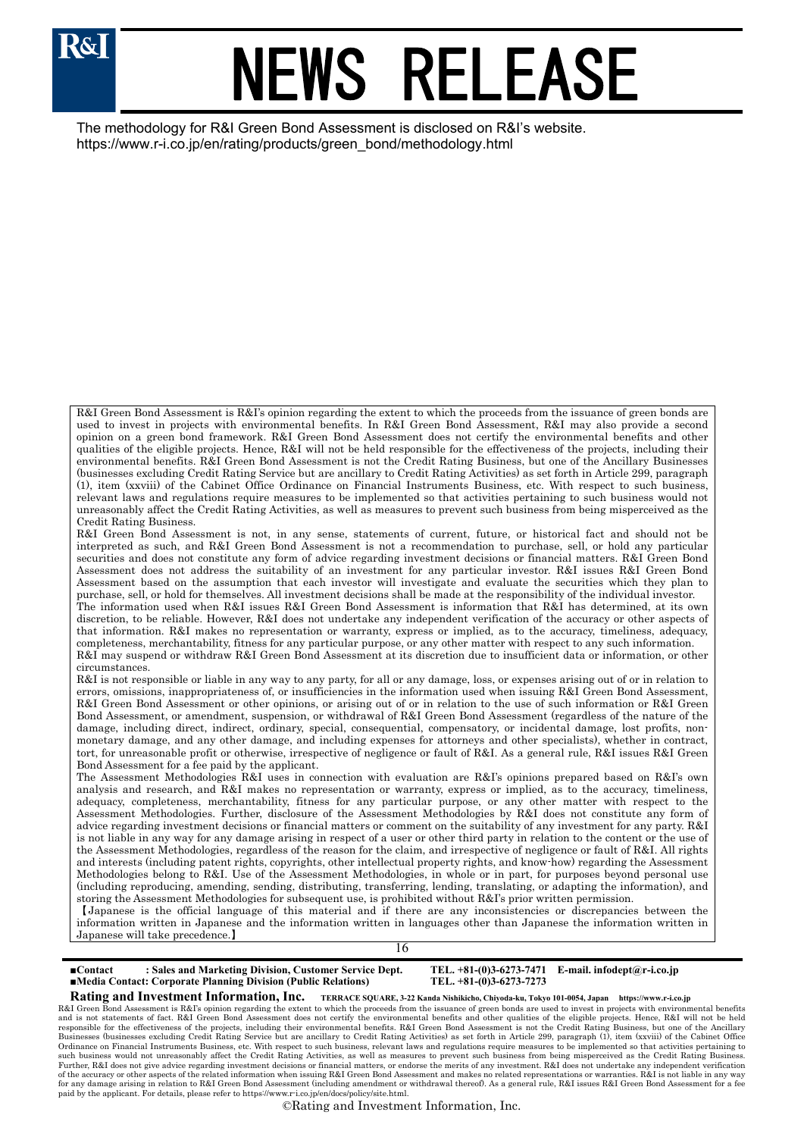

The methodology for R&I Green Bond Assessment is disclosed on R&I's website. https://www.r-i.co.jp/en/rating/products/green\_bond/methodology.html

R&I Green Bond Assessment is R&I's opinion regarding the extent to which the proceeds from the issuance of green bonds are used to invest in projects with environmental benefits. In R&I Green Bond Assessment, R&I may also provide a second opinion on a green bond framework. R&I Green Bond Assessment does not certify the environmental benefits and other qualities of the eligible projects. Hence, R&I will not be held responsible for the effectiveness of the projects, including their environmental benefits. R&I Green Bond Assessment is not the Credit Rating Business, but one of the Ancillary Businesses (businesses excluding Credit Rating Service but are ancillary to Credit Rating Activities) as set forth in Article 299, paragraph (1), item (xxviii) of the Cabinet Office Ordinance on Financial Instruments Business, etc. With respect to such business, relevant laws and regulations require measures to be implemented so that activities pertaining to such business would not unreasonably affect the Credit Rating Activities, as well as measures to prevent such business from being misperceived as the Credit Rating Business.

R&I Green Bond Assessment is not, in any sense, statements of current, future, or historical fact and should not be interpreted as such, and R&I Green Bond Assessment is not a recommendation to purchase, sell, or hold any particular securities and does not constitute any form of advice regarding investment decisions or financial matters. R&I Green Bond Assessment does not address the suitability of an investment for any particular investor. R&I issues R&I Green Bond Assessment based on the assumption that each investor will investigate and evaluate the securities which they plan to purchase, sell, or hold for themselves. All investment decisions shall be made at the responsibility of the individual investor. The information used when R&I issues R&I Green Bond Assessment is information that R&I has determined, at its own discretion, to be reliable. However, R&I does not undertake any independent verification of the accuracy or other aspects of that information. R&I makes no representation or warranty, express or implied, as to the accuracy, timeliness, adequacy, completeness, merchantability, fitness for any particular purpose, or any other matter with respect to any such information. R&I may suspend or withdraw R&I Green Bond Assessment at its discretion due to insufficient data or information, or other circumstances.

R&I is not responsible or liable in any way to any party, for all or any damage, loss, or expenses arising out of or in relation to errors, omissions, inappropriateness of, or insufficiencies in the information used when issuing R&I Green Bond Assessment, R&I Green Bond Assessment or other opinions, or arising out of or in relation to the use of such information or R&I Green Bond Assessment, or amendment, suspension, or withdrawal of R&I Green Bond Assessment (regardless of the nature of the damage, including direct, indirect, ordinary, special, consequential, compensatory, or incidental damage, lost profits, nonmonetary damage, and any other damage, and including expenses for attorneys and other specialists), whether in contract, tort, for unreasonable profit or otherwise, irrespective of negligence or fault of R&I. As a general rule, R&I issues R&I Green Bond Assessment for a fee paid by the applicant.

The Assessment Methodologies R&I uses in connection with evaluation are R&I's opinions prepared based on R&I's own analysis and research, and R&I makes no representation or warranty, express or implied, as to the accuracy, timeliness, adequacy, completeness, merchantability, fitness for any particular purpose, or any other matter with respect to the Assessment Methodologies. Further, disclosure of the Assessment Methodologies by R&I does not constitute any form of advice regarding investment decisions or financial matters or comment on the suitability of any investment for any party. R&I is not liable in any way for any damage arising in respect of a user or other third party in relation to the content or the use of the Assessment Methodologies, regardless of the reason for the claim, and irrespective of negligence or fault of R&I. All rights and interests (including patent rights, copyrights, other intellectual property rights, and know-how) regarding the Assessment Methodologies belong to R&I. Use of the Assessment Methodologies, in whole or in part, for purposes beyond personal use (including reproducing, amending, sending, distributing, transferring, lending, translating, or adapting the information), and storing the Assessment Methodologies for subsequent use, is prohibited without R&I's prior written permission.

【Japanese is the official language of this material and if there are any inconsistencies or discrepancies between the information written in Japanese and the information written in languages other than Japanese the information written in Japanese will take precedence.】

16

| : Sales and Marketing Division, Customer Service Dept.<br>$\blacksquare$ Contact<br>■Media Contact: Corporate Planning Division (Public Relations) | TEL. $+81-(0)3-6273-7273$ | TEL. $+81-(0)3-6273-7471$ E-mail. infodept@r-i.co.jp |
|----------------------------------------------------------------------------------------------------------------------------------------------------|---------------------------|------------------------------------------------------|
| $\mathbf{B}$ and $\mathbf{B}$ are the set of $\mathbf{B}$                                                                                          |                           |                                                      |

**Rating and Investment Information, Inc. TERRACE SQUARE, 3-22 Kanda Nishikicho, Chiyoda-ku, Tokyo 101-0054, Japan https://www.r-i.co.jp**  R&I Green Bond Assessment is R&I's opinion regarding the extent to which the proceeds from the issuance of green bonds are used to invest in projects with environmental benefits and is not statements of fact. R&I Green Bond Assessment does not certify the environmental benefits and other qualities of the eligible projects. Hence, R&I will not be held<br>responsible for the effectiveness of the projec Businesses (businesses excluding Credit Rating Service but are ancillary to Credit Rating Activities) as set forth in Article 299, paragraph (1), item (xxviii) of the Cabinet Office<br>Ordinance on Financial Instruments Busin such business would not unreasonably affect the Credit Rating Activities, as well as measures to prevent such business from being misperceived as the Credit Rating Business.<br>Further, R&I does not give advice regarding inve of the accuracy or other aspects of the related information when issuing R&I Green Bond Assessment and makes no related representations or warranties. R&I is not liable in any way for any damage arising in relation to R&I Green Bond Assessment (including amendment or withdrawal thereof). As a general rule, R&I issues R&I Green Bond Assessment for a fee paid by the applicant. For details, please refer to https://www.r-i.co.jp/en/docs/policy/site.html.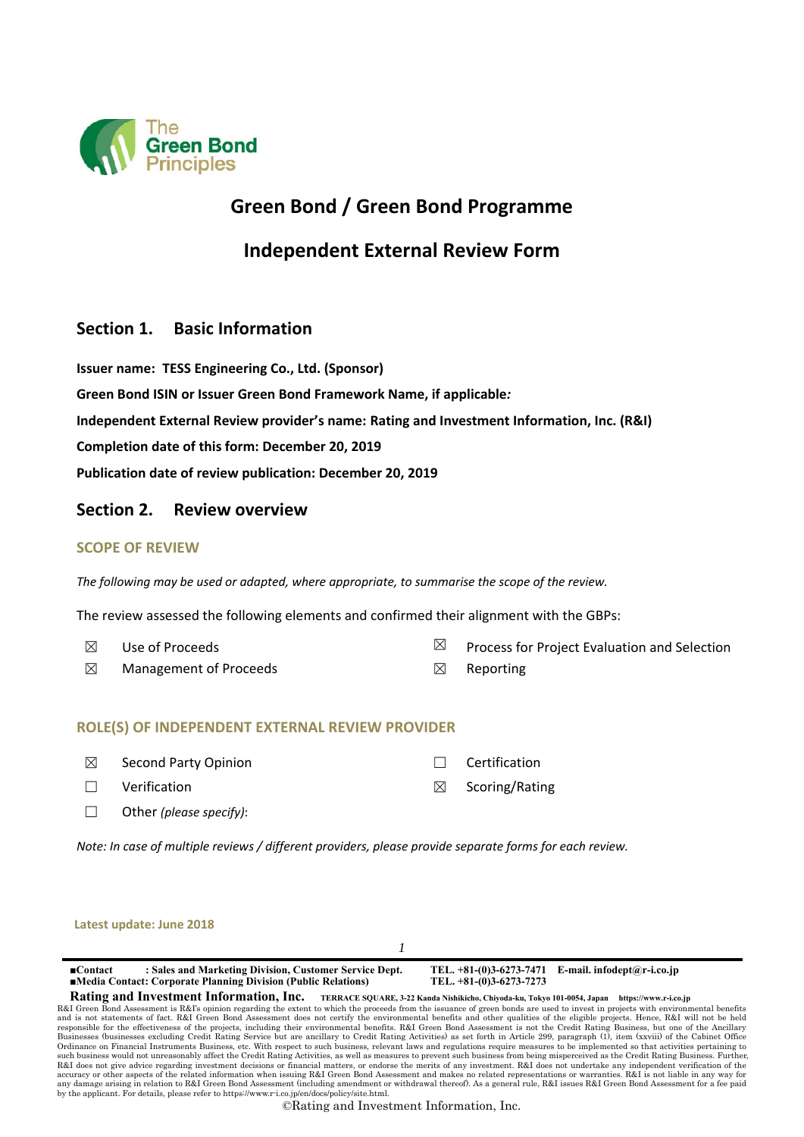

## **Green Bond / Green Bond Programme**

**Independent External Review Form** 

### **Section 1. Basic Information**

**Issuer name: TESS Engineering Co., Ltd. (Sponsor) Green Bond ISIN or Issuer Green Bond Framework Name, if applicable***:*  **Independent External Review provider's name: Rating and Investment Information, Inc. (R&I) Completion date of this form: December 20, 2019 Publication date of review publication: December 20, 2019**

### **Section 2. Review overview**

### **SCOPE OF REVIEW**

*The following may be used or adapted, where appropriate, to summarise the scope of the review.* 

The review assessed the following elements and confirmed their alignment with the GBPs:

- 
- $\boxtimes$  Use of Proceeds  $\boxtimes$  Process for Project Evaluation and Selection
- $\boxtimes$  Management of Proceeds  $\boxtimes$  Reporting

### **ROLE(S) OF INDEPENDENT EXTERNAL REVIEW PROVIDER**

- ☒ Second Party Opinion ☐ Certification
- ☐ Verification ☒ Scoring/Rating
- ☐ Other *(please specify)*:

*Note: In case of multiple reviews / different providers, please provide separate forms for each review.* 

| Latest update: June 2018                                                                                                                                                                                                                                                                                                                                                                                                                                                                                                                                |                                                    |                            |  |
|---------------------------------------------------------------------------------------------------------------------------------------------------------------------------------------------------------------------------------------------------------------------------------------------------------------------------------------------------------------------------------------------------------------------------------------------------------------------------------------------------------------------------------------------------------|----------------------------------------------------|----------------------------|--|
|                                                                                                                                                                                                                                                                                                                                                                                                                                                                                                                                                         |                                                    |                            |  |
| : Sales and Marketing Division, Customer Service Dept.<br>$\blacksquare$ Contact<br>■Media Contact: Corporate Planning Division (Public Relations)                                                                                                                                                                                                                                                                                                                                                                                                      | TEL. +81-(0)3-6273-7471<br>TEL. +81-(0)3-6273-7273 | E-mail. infodept@r-i.co.jp |  |
| Rating and Investment Information, Inc. TERRACE SQUARE, 3-22 Kanda Nishikicho, Chiyoda-ku, Tokyo 101-0054, Japan                                                                                                                                                                                                                                                                                                                                                                                                                                        |                                                    | https://www.r-i.co.jp      |  |
| R&I Green Bond Assessment is R&I's opinion regarding the extent to which the proceeds from the issuance of green bonds are used to invest in projects with environmental benefits<br>and is not statements of fact. R&I Green Bond Assessment does not certify the environmental benefits and other qualities of the eligible projects. Hence, R&I will not be held<br>responsible for the effectiveness of the projects, including their environmental benefits. R&I Green Bond Assessment is not the Credit Rating Business, but one of the Ancillary |                                                    |                            |  |
| Businesses (businesses excluding Credit Rating Service but are ancillary to Credit Rating Activities) as set forth in Article 299, paragraph (1), item (xxviii) of the Cabinet Office                                                                                                                                                                                                                                                                                                                                                                   |                                                    |                            |  |
| Ordinance on Financial Instruments Business, etc. With respect to such business, relevant laws and regulations require measures to be implemented so that activities pertaining to<br>such business would not unreasonably affect the Credit Rating Activities, as well as measures to prevent such business from being misperceived as the Credit Rating Business. Further,                                                                                                                                                                            |                                                    |                            |  |
| R&I does not give advice regarding investment decisions or financial matters, or endorse the merits of any investment. R&I does not undertake any independent verification of the                                                                                                                                                                                                                                                                                                                                                                       |                                                    |                            |  |
| accuracy or other aspects of the related information when issuing R&I Green Bond Assessment and makes no related representations or warranties. R&I is not liable in any way for<br>any damage arising in relation to R&I Green Bond Assessment (including amendment or withdrawal thereof). As a general rule, R&I issues R&I Green Bond Assessment for a fee paid                                                                                                                                                                                     |                                                    |                            |  |

by the applicant. For details, please refer to https://www.r-i.co.jp/en/docs/policy/site.html. ©Rating and Investment Information, Inc.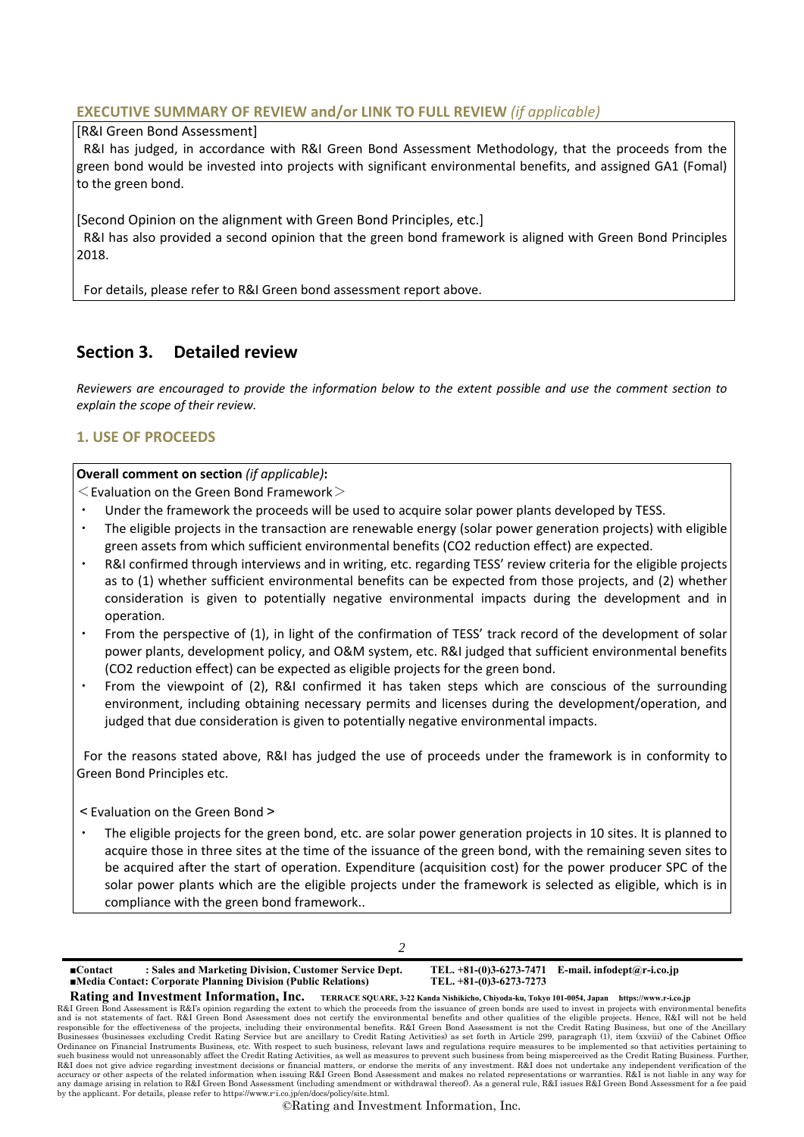### **EXECUTIVE SUMMARY OF REVIEW and/or LINK TO FULL REVIEW** *(if applicable)*

#### [R&I Green Bond Assessment]

R&I has judged, in accordance with R&I Green Bond Assessment Methodology, that the proceeds from the green bond would be invested into projects with significant environmental benefits, and assigned GA1 (Fomal) to the green bond.

[Second Opinion on the alignment with Green Bond Principles, etc.] R&I has also provided a second opinion that the green bond framework is aligned with Green Bond Principles 2018.

For details, please refer to R&I Green bond assessment report above.

### **Section 3. Detailed review**

*Reviewers are encouraged to provide the information below to the extent possible and use the comment section to explain the scope of their review.* 

### **1. USE OF PROCEEDS**

#### **Overall comment on section** *(if applicable)***:**

 $\leq$  Evaluation on the Green Bond Framework $\geq$ 

- Under the framework the proceeds will be used to acquire solar power plants developed by TESS.
- The eligible projects in the transaction are renewable energy (solar power generation projects) with eligible green assets from which sufficient environmental benefits (CO2 reduction effect) are expected.
- R&I confirmed through interviews and in writing, etc. regarding TESS' review criteria for the eligible projects as to (1) whether sufficient environmental benefits can be expected from those projects, and (2) whether consideration is given to potentially negative environmental impacts during the development and in operation.
- From the perspective of (1), in light of the confirmation of TESS' track record of the development of solar power plants, development policy, and O&M system, etc. R&I judged that sufficient environmental benefits (CO2 reduction effect) can be expected as eligible projects for the green bond.
- From the viewpoint of (2), R&I confirmed it has taken steps which are conscious of the surrounding environment, including obtaining necessary permits and licenses during the development/operation, and judged that due consideration is given to potentially negative environmental impacts.

For the reasons stated above, R&I has judged the use of proceeds under the framework is in conformity to Green Bond Principles etc.

<Evaluation on the Green Bond>

The eligible projects for the green bond, etc. are solar power generation projects in 10 sites. It is planned to acquire those in three sites at the time of the issuance of the green bond, with the remaining seven sites to be acquired after the start of operation. Expenditure (acquisition cost) for the power producer SPC of the solar power plants which are the eligible projects under the framework is selected as eligible, which is in compliance with the green bond framework..

| I<br>I<br>I |
|-------------|
| i<br>I      |
|             |

**■Contact : Sales and Marketing Division, Customer Service Dept. TEL. +81-(0)3-6273-7471 E-mail. infodept@r-i.co.jp ■Media Contact: Corporate Planning Division (Public Relations) Rating and Investment Information, Inc. TERRACE SQUARE, 3-22 Kanda Nishikicho, Chiyoda-ku, Tokyo 101-0054, Japan https://www.r-i.co.jp** 

R&I Green Bond Assessment is R&I's opinion regarding the extent to which the proceeds from the issuance of green bonds are used to invest in projects with environmental benefits and is not statements of fact. R&I Green Bon and is not statements of fact. R&I Green Bond Assessment does not certify the environmental benefits and other qualities of the eligible projects. Hence, R&I will not be held<br>responsible for the effectiveness of the projec Businesses (businesses excluding Credit Rating Service but are ancillary to Credit Rating Activities) as set forth in Article 299, paragraph (1), item (xxviii) of the Cabinet Office<br>Ordinance on Financial Instruments Busin such business would not unreasonably affect the Credit Rating Activities, as well as measures to prevent such business from being misperceived as the Credit Rating Business. Further,<br>R&I does not give advice regarding inve accuracy or other aspects of the related information when issuing R&I Green Bond Assessment and makes no related representations or warranties. R&I is not liable in any way for any damage arising in relation to R&I Green Bond Assessment (including amendment or withdrawal thereof). As a general rule, R&I issues R&I Green Bond Assessment for a fee paid by the applicant. For details, please refer to https://www.r-i.co.jp/en/docs/policy/site.html.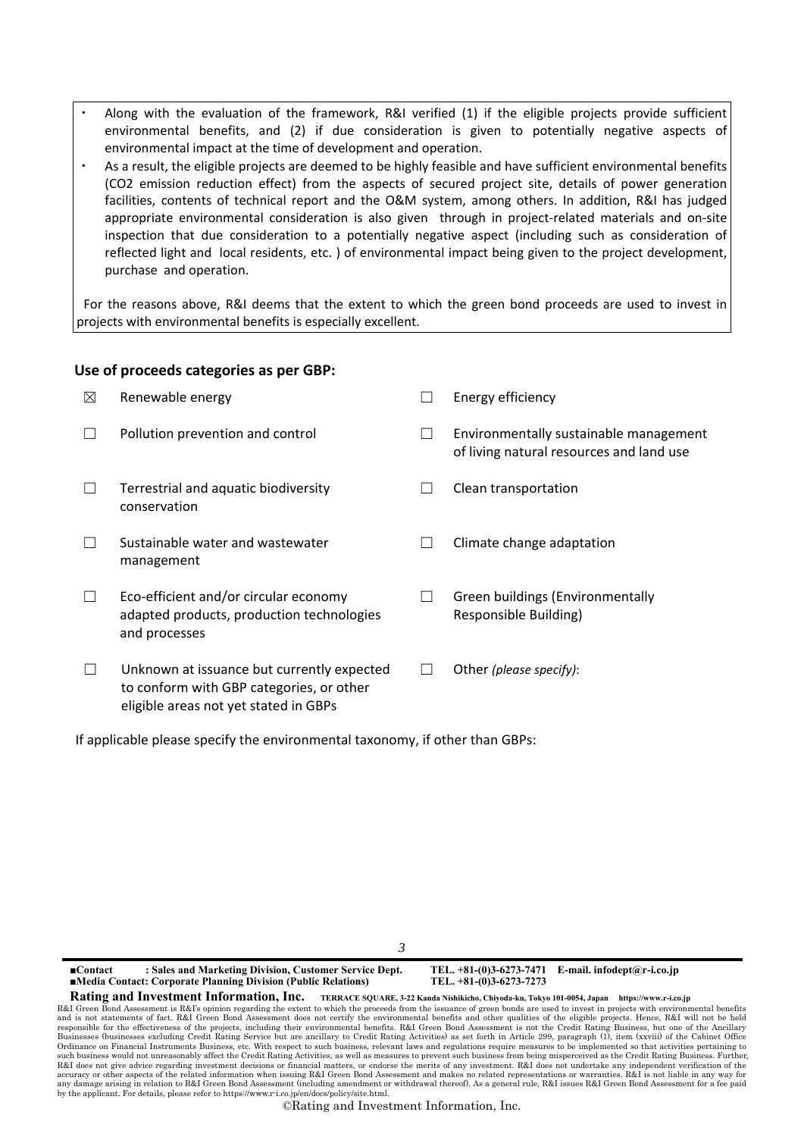- Along with the evaluation of the framework, R&I verified (1) if the eligible projects provide sufficient environmental benefits, and (2) if due consideration is given to potentially negative aspects of environmental impact at the time of development and operation.
- As a result, the eligible projects are deemed to be highly feasible and have sufficient environmental benefits (CO2 emission reduction effect) from the aspects of secured project site, details of power generation facilities, contents of technical report and the O&M system, among others. In addition, R&I has judged appropriate environmental consideration is also given through in project-related materials and on-site inspection that due consideration to a potentially negative aspect (including such as consideration of reflected light and local residents, etc. ) of environmental impact being given to the project development, purchase and operation.

For the reasons above, R&I deems that the extent to which the green bond proceeds are used to invest in projects with environmental benefits is especially excellent.

### **Use of proceeds categories as per GBP:**

| ⊠ | Renewable energy                                                                                                                | Energy efficiency                                                                  |
|---|---------------------------------------------------------------------------------------------------------------------------------|------------------------------------------------------------------------------------|
|   | Pollution prevention and control                                                                                                | Environmentally sustainable management<br>of living natural resources and land use |
|   | Terrestrial and aquatic biodiversity<br>conservation                                                                            | Clean transportation                                                               |
|   | Sustainable water and wastewater<br>management                                                                                  | Climate change adaptation                                                          |
|   | Eco-efficient and/or circular economy<br>adapted products, production technologies<br>and processes                             | Green buildings (Environmentally<br>Responsible Building)                          |
|   | Unknown at issuance but currently expected<br>to conform with GBP categories, or other<br>eligible areas not yet stated in GBPs | Other (please specify):                                                            |

If applicable please specify the environmental taxonomy, if other than GBPs:

*3*

**■Contact : Sales and Marketing Division, Customer Service Dept. TEL. +81-(0)3-6273-7471 E-mail. infodept@r-i.co.jp ■Media Contact: Corporate Planning Division (Public Relations) Rating and Investment Information, Inc. TERRACE SQUARE, 3-22 Kanda Nishikicho, Chiyoda-ku, Tokyo 101-0054, Japan https://www.r-i.co.jp** 

R&I Green Bond Assessment is R&I's opinion regarding the extent to which the proceeds from the issuance of green bonds are used to invest in projects with environmental benefits<br>and is not statements of fact. R&I Green Bon Businesses (businesses excluding Credit Rating Service but are ancillary to Credit Rating Activities) as set forth in Article 299, paragraph (1), item (xxviii) of the Cabinet Office<br>Ordinance on Financial Instruments Busin such business would not unreasonably affect the Credit Rating Activities, as well as measures to prevent such business from being misperceived as the Credit Rating Business. Further,<br>R&I does not give advice regarding inve accuracy or other aspects of the related information when issuing R&I Green Bond Assessment and makes no related representations or warranties. R&I is not liable in any way for any damage arising in relation to R&I Green Bond Assessment (including amendment or withdrawal thereof). As a general rule, R&I issues R&I Green Bond Assessment for a fee paid by the applicant. For details, please refer to https://www.r-i.co.jp/en/docs/policy/site.html.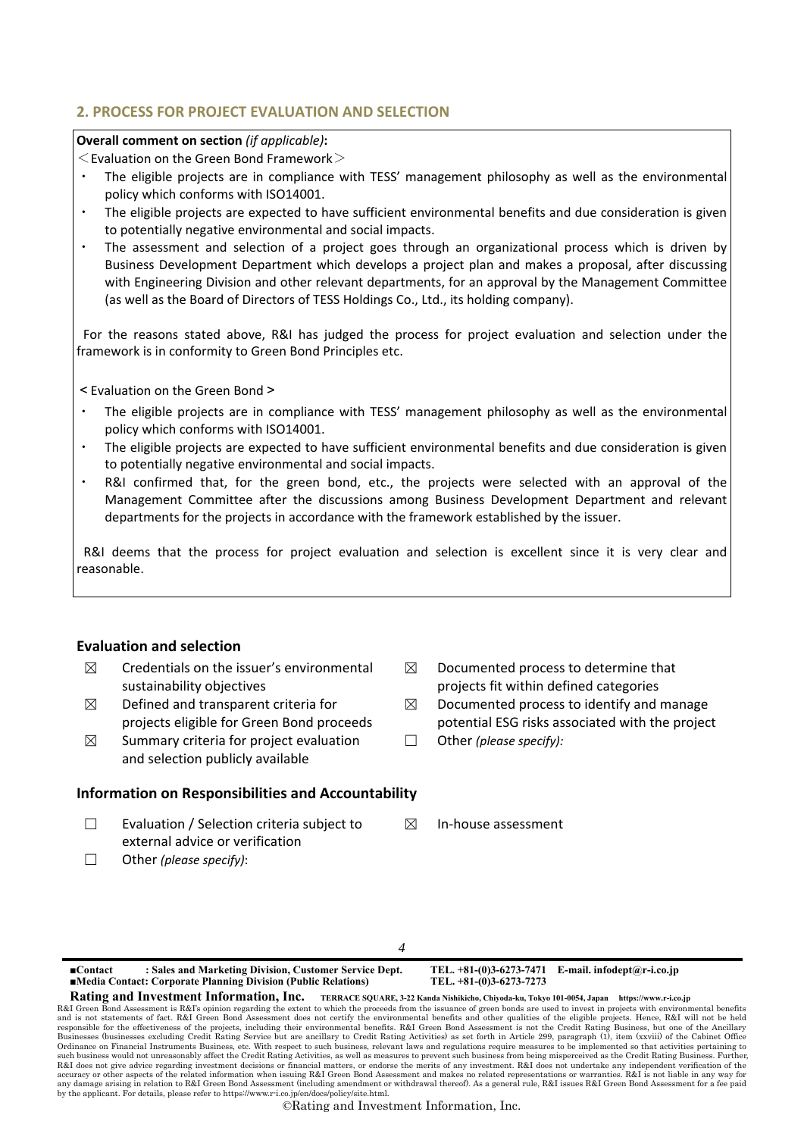### **2. PROCESS FOR PROJECT EVALUATION AND SELECTION**

### **Overall comment on section** *(if applicable)***:**

 $\leq$  Evaluation on the Green Bond Framework $>$ 

- The eligible projects are in compliance with TESS' management philosophy as well as the environmental policy which conforms with ISO14001.
- The eligible projects are expected to have sufficient environmental benefits and due consideration is given to potentially negative environmental and social impacts.
- The assessment and selection of a project goes through an organizational process which is driven by Business Development Department which develops a project plan and makes a proposal, after discussing with Engineering Division and other relevant departments, for an approval by the Management Committee (as well as the Board of Directors of TESS Holdings Co., Ltd., its holding company).

For the reasons stated above, R&I has judged the process for project evaluation and selection under the framework is in conformity to Green Bond Principles etc.

< Evaluation on the Green Bond >

- The eligible projects are in compliance with TESS' management philosophy as well as the environmental policy which conforms with ISO14001.
- ・ The eligible projects are expected to have sufficient environmental benefits and due consideration is given to potentially negative environmental and social impacts.
- R&I confirmed that, for the green bond, etc., the projects were selected with an approval of the Management Committee after the discussions among Business Development Department and relevant departments for the projects in accordance with the framework established by the issuer.

R&I deems that the process for project evaluation and selection is excellent since it is very clear and reasonable.

### **Evaluation and selection**

- $\boxtimes$  Credentials on the issuer's environmental sustainability objectives
- $\boxtimes$  Defined and transparent criteria for projects eligible for Green Bond proceeds
- $\boxtimes$  Summary criteria for project evaluation and selection publicly available

### **Information on Responsibilities and Accountability**

- ☐ Evaluation / Selection criteria subject to external advice or verification
- ☐ Other *(please specify)*:
- $\boxtimes$  Documented process to determine that projects fit within defined categories
- $\boxtimes$  Documented process to identify and manage potential ESG risks associated with the project
- ☐ Other *(please specify):*
- ☒ In‐house assessment

### *4*

**■Contact : Sales and Marketing Division, Customer Service Dept. TEL. +81-(0)3-6273-7471 E-mail. infodept@r-i.co.jp ■Media Contact: Corporate Planning Division (Public Relations)** 

**Rating and Investment Information, Inc. TERRACE SQUARE, 3-22 Kanda Nishikicho, Chiyoda-ku, Tokyo 101-0054, Japan https://www.r-i.co.jp** 

R&I Green Bond Assessment is R&I's opinion regarding the extent to which the proceeds from the issuance of green bonds are used to invest in projects with environmental benefits<br>and is not statements of fact. R&I Green Bon Businesses (businesses excluding Credit Rating Service but are ancillary to Credit Rating Activities) as set forth in Article 299, paragraph (1), item (xxviii) of the Cabinet Office<br>Ordinance on Financial Instruments Busin such business would not unreasonably affect the Credit Rating Activities, as well as measures to prevent such business from being misperceived as the Credit Rating Business. Further,<br>R&I does not give advice regarding inve accuracy or other aspects of the related information when issuing R&I Green Bond Assessment and makes no related representations or warranties. R&I is not liable in any way for any damage arising in relation to R&I Green Bond Assessment (including amendment or withdrawal thereof). As a general rule, R&I issues R&I Green Bond Assessment for a fee paid by the applicant. For details, please refer to https://www.r-i.co.jp/en/docs/policy/site.html.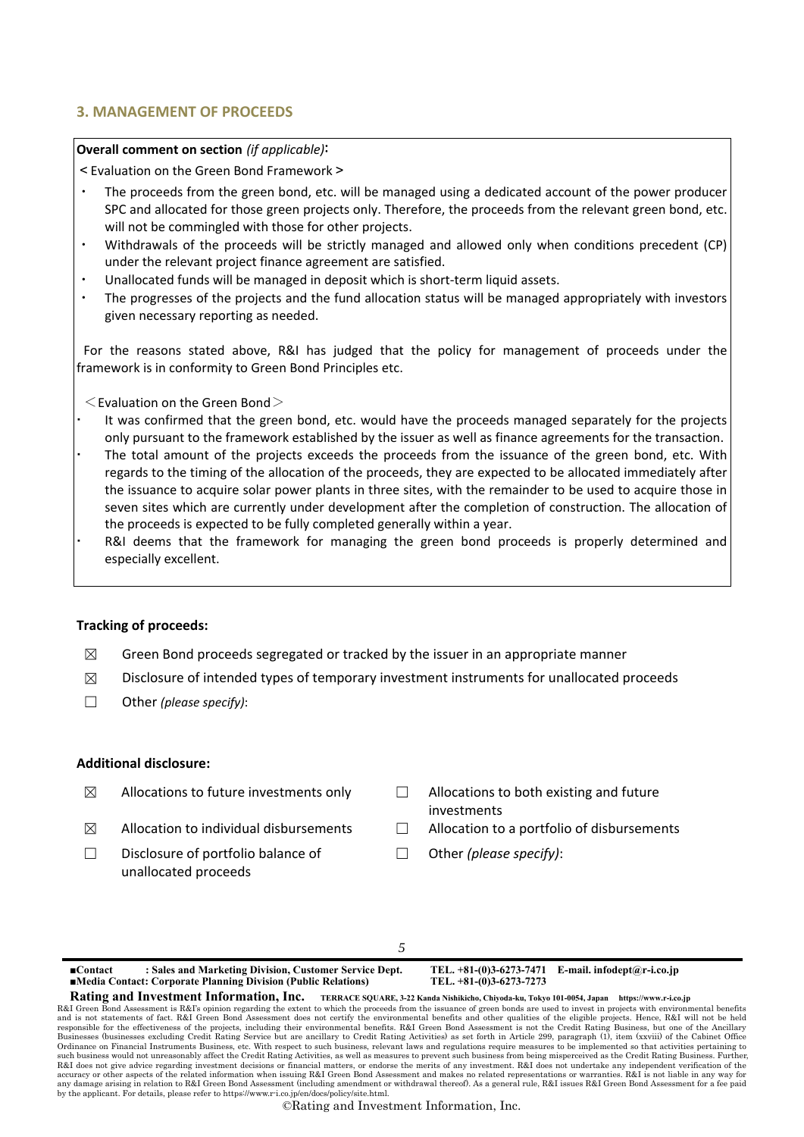### **3. MANAGEMENT OF PROCEEDS**

#### **Overall comment on section** *(if applicable)*:

<Evaluation on the Green Bond Framework>

- The proceeds from the green bond, etc. will be managed using a dedicated account of the power producer SPC and allocated for those green projects only. Therefore, the proceeds from the relevant green bond, etc. will not be commingled with those for other projects.
- Withdrawals of the proceeds will be strictly managed and allowed only when conditions precedent (CP) under the relevant project finance agreement are satisfied.
- Unallocated funds will be managed in deposit which is short-term liquid assets.
- The progresses of the projects and the fund allocation status will be managed appropriately with investors given necessary reporting as needed.

For the reasons stated above, R&I has judged that the policy for management of proceeds under the framework is in conformity to Green Bond Principles etc.

- $\leq$  Evaluation on the Green Bond $\geq$
- It was confirmed that the green bond, etc. would have the proceeds managed separately for the projects only pursuant to the framework established by the issuer as well as finance agreements for the transaction.
- The total amount of the projects exceeds the proceeds from the issuance of the green bond, etc. With regards to the timing of the allocation of the proceeds, they are expected to be allocated immediately after the issuance to acquire solar power plants in three sites, with the remainder to be used to acquire those in seven sites which are currently under development after the completion of construction. The allocation of the proceeds is expected to be fully completed generally within a year.
- R&I deems that the framework for managing the green bond proceeds is properly determined and especially excellent.

#### **Tracking of proceeds:**

- $\boxtimes$  Green Bond proceeds segregated or tracked by the issuer in an appropriate manner
- $\boxtimes$  Disclosure of intended types of temporary investment instruments for unallocated proceeds
- ☐ Other *(please specify)*:

#### **Additional disclosure:**

- $\boxtimes$  Allocations to future investments only  $\Box$  Allocations to both existing and future
- $\boxtimes$  Allocation to individual disbursements  $\Box$  Allocation to a portfolio of disbursements
- ☐ Disclosure of portfolio balance of unallocated proceeds
- investments
- 
- ☐ Other *(please specify)*:

### *5*

**■Contact : Sales and Marketing Division, Customer Service Dept. TEL. +81-(0)3-6273-7471 E-mail. infodept@r-i.co.jp ■Media Contact: Corporate Planning Division (Public Relations)** 

**Rating and Investment Information, Inc. TERRACE SQUARE, 3-22 Kanda Nishikicho, Chiyoda-ku, Tokyo 101-0054, Japan https://www.r-i.co.jp** 

R&I Green Bond Assessment is R&I's opinion regarding the extent to which the proceeds from the issuance of green bonds are used to invest in projects with environmental benefits<br>and is not statements of fact. R&I Green Bon Businesses (businesses excluding Credit Rating Service but are ancillary to Credit Rating Activities) as set forth in Article 299, paragraph (1), item (xxviii) of the Cabinet Office<br>Ordinance on Financial Instruments Busin such business would not unreasonably affect the Credit Rating Activities, as well as measures to prevent such business from being misperceived as the Credit Rating Business. Further,<br>R&I does not give advice regarding inve accuracy or other aspects of the related information when issuing R&I Green Bond Assessment and makes no related representations or warranties. R&I is not liable in any way for any damage arising in relation to R&I Green Bond Assessment (including amendment or withdrawal thereof). As a general rule, R&I issues R&I Green Bond Assessment for a fee paid by the applicant. For details, please refer to https://www.r-i.co.jp/en/docs/policy/site.html.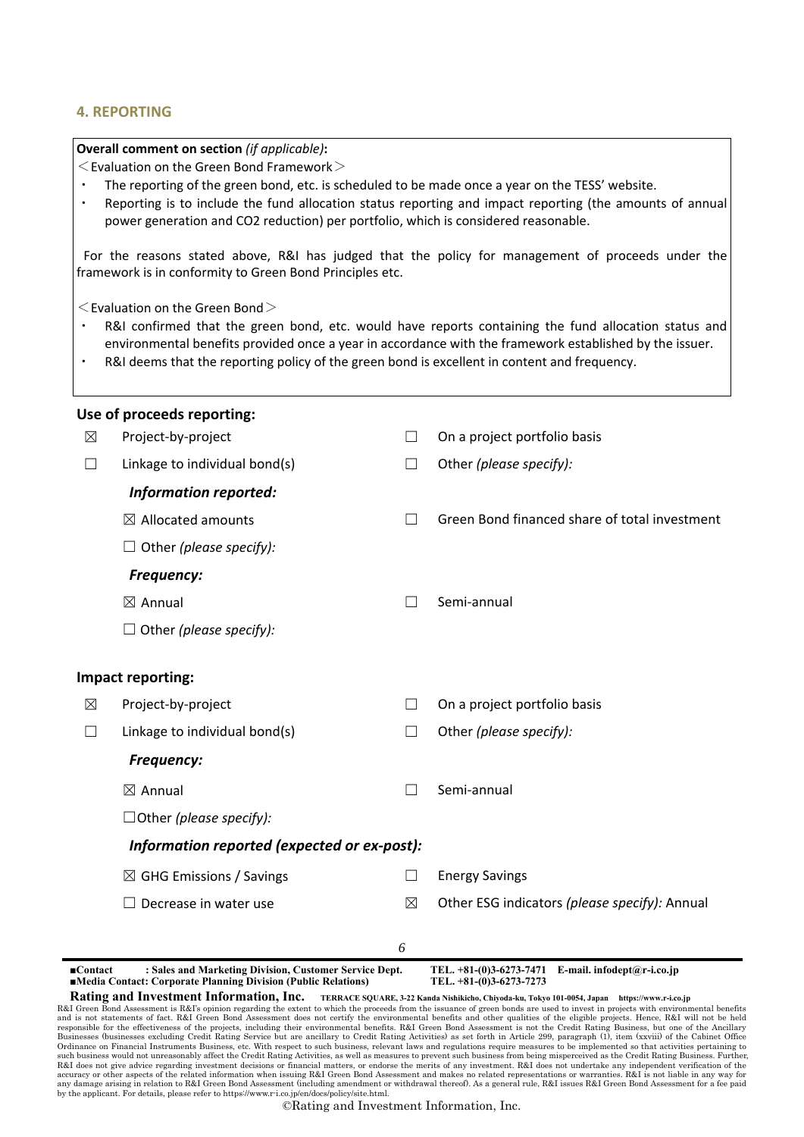#### **4. REPORTING**

#### **Overall comment on section** *(if applicable)***:**

 $\leq$  Evaluation on the Green Bond Framework $\geq$ 

- The reporting of the green bond, etc. is scheduled to be made once a year on the TESS' website.
- ・ Reporting is to include the fund allocation status reporting and impact reporting (the amounts of annual power generation and CO2 reduction) per portfolio, which is considered reasonable.

For the reasons stated above, R&I has judged that the policy for management of proceeds under the framework is in conformity to Green Bond Principles etc.

 $\leq$  Evaluation on the Green Bond $>$ 

- R&I confirmed that the green bond, etc. would have reports containing the fund allocation status and environmental benefits provided once a year in accordance with the framework established by the issuer.
- R&I deems that the reporting policy of the green bond is excellent in content and frequency.

|                        | Use of proceeds reporting:                                                                                               |                   |                                                                                 |  |  |  |
|------------------------|--------------------------------------------------------------------------------------------------------------------------|-------------------|---------------------------------------------------------------------------------|--|--|--|
| $\boxtimes$            | Project-by-project                                                                                                       | $\vert \ \ \vert$ | On a project portfolio basis                                                    |  |  |  |
| П                      | Linkage to individual bond(s)                                                                                            | $\Box$            | Other (please specify):                                                         |  |  |  |
|                        | <b>Information reported:</b>                                                                                             |                   |                                                                                 |  |  |  |
|                        | $\boxtimes$ Allocated amounts                                                                                            | $\mathsf{L}$      | Green Bond financed share of total investment                                   |  |  |  |
|                        | $\Box$ Other (please specify):                                                                                           |                   |                                                                                 |  |  |  |
|                        | <b>Frequency:</b>                                                                                                        |                   |                                                                                 |  |  |  |
|                        | $\boxtimes$ Annual                                                                                                       |                   | Semi-annual                                                                     |  |  |  |
|                        | $\Box$ Other (please specify):                                                                                           |                   |                                                                                 |  |  |  |
|                        | Impact reporting:                                                                                                        |                   |                                                                                 |  |  |  |
| ⊠                      | Project-by-project                                                                                                       | $\Box$            | On a project portfolio basis                                                    |  |  |  |
| $\mathsf{L}$           | Linkage to individual bond(s)                                                                                            | $\Box$            | Other (please specify):                                                         |  |  |  |
|                        | <b>Frequency:</b>                                                                                                        |                   |                                                                                 |  |  |  |
|                        | $\boxtimes$ Annual                                                                                                       | $\Box$            | Semi-annual                                                                     |  |  |  |
|                        | $\Box$ Other (please specify):                                                                                           |                   |                                                                                 |  |  |  |
|                        | Information reported (expected or ex-post):                                                                              |                   |                                                                                 |  |  |  |
|                        | $\boxtimes$ GHG Emissions / Savings                                                                                      | $\vert \ \ \vert$ | <b>Energy Savings</b>                                                           |  |  |  |
|                        | Decrease in water use                                                                                                    | ⊠                 | Other ESG indicators (please specify): Annual                                   |  |  |  |
|                        |                                                                                                                          | 6                 |                                                                                 |  |  |  |
| $\blacksquare$ Contact | : Sales and Marketing Division, Customer Service Dept.<br>■Media Contact: Corporate Planning Division (Public Relations) |                   | TEL. $+81-(0)3-6273-7471$ E-mail. infodept@r-i.co.jp<br>TEL. +81-(0)3-6273-7273 |  |  |  |

and is not statements of fact. R&I Green Bond Assessment does not certify the environmental benefits and other qualities of the eligible projects. Hence, R&I will not be held<br>responsible for the effectiveness of the projec Businesses (businesses excluding Credit Rating Service but are ancillary to Credit Rating Activities) as set forth in Article 299, paragraph (1), item (xxviii) of the Cabinet Office<br>Ordinance on Financial Instruments Busin such business would not unreasonably affect the Credit Rating Activities, as well as measures to prevent such business from being misperceived as the Credit Rating Business. Further,<br>R&I does not give advice regarding inve accuracy or other aspects of the related information when issuing R&I Green Bond Assessment and makes no related representations or warranties. R&I is not liable in any way for any damage arising in relation to R&I Green Bond Assessment (including amendment or withdrawal thereof). As a general rule, R&I issues R&I Green Bond Assessment for a fee paid by the applicant. For details, please refer to https://www.r-i.co.jp/en/docs/policy/site.html.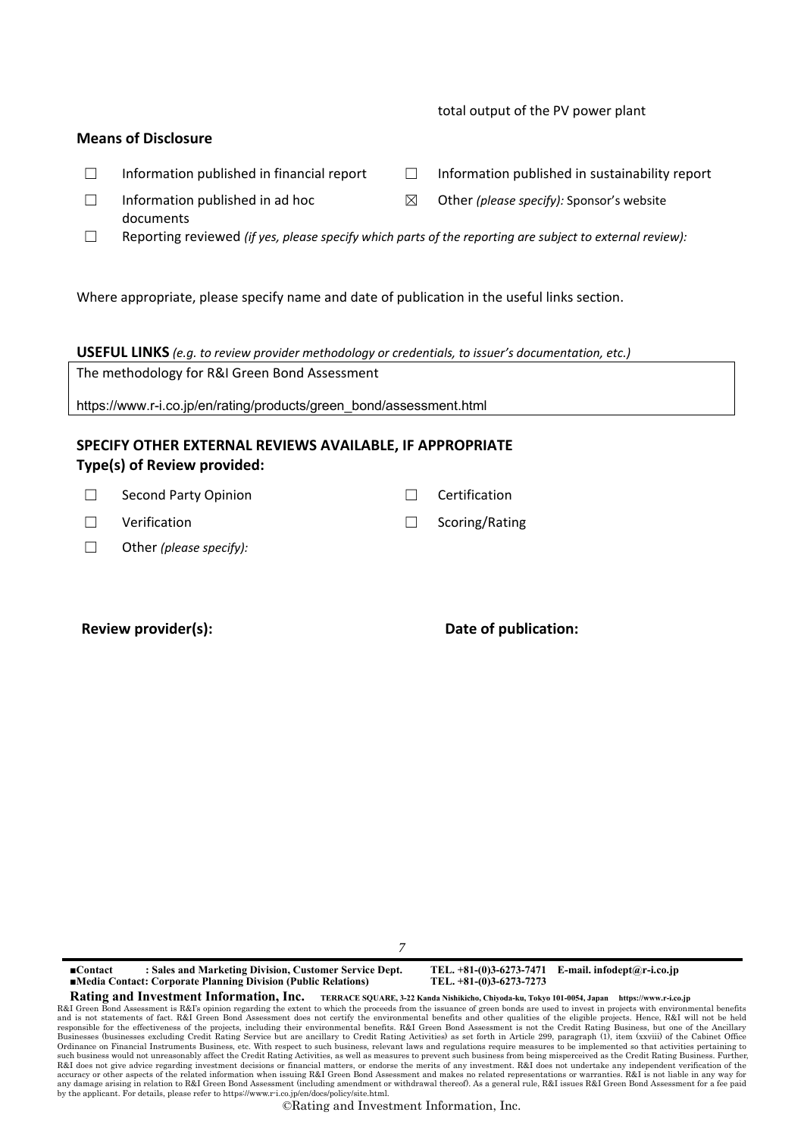### total output of the PV power plant

### **Means of Disclosure**

- ☐ Information published in financial report ☐ Information published in sustainability report
- $\Box$  Information published in ad hoc documents
- ☐ Reporting reviewed *(if yes, please specify which parts of the reporting are subject to external review):*

Where appropriate, please specify name and date of publication in the useful links section.

**USEFUL LINKS** *(e.g. to review provider methodology or credentials, to issuer's documentation, etc.)*

The methodology for R&I Green Bond Assessment

https://www.r-i.co.jp/en/rating/products/green\_bond/assessment.html

### **SPECIFY OTHER EXTERNAL REVIEWS AVAILABLE, IF APPROPRIATE Type(s) of Review provided:**

| $\Box$ Second Party Opinion | $\Box$ Certification  |
|-----------------------------|-----------------------|
| $\Box$ Verification         | $\Box$ Scoring/Rating |

☐ Other *(please specify):*

### Review provider(s):  $\qquad \qquad$  Date of publication:

*7*

**■Contact : Sales and Marketing Division, Customer Service Dept. TEL. +81-(0)3-6273-7471 E-mail. infodept@r-i.co.jp ■Media Contact: Corporate Planning Division (Public Relations)** 

**Rating and Investment Information, Inc. TERRACE SQUARE, 3-22 Kanda Nishikicho, Chiyoda-ku, Tokyo 101-0054, Japan https://www.r-i.co.jp** 

R&I Green Bond Assessment is R&I's opinion regarding the extent to which the proceeds from the issuance of green bonds are used to invest in projects with environmental benefits<br>and is not statements of fact. R&I Green Bon Businesses (businesses excluding Credit Rating Service but are ancillary to Credit Rating Activities) as set forth in Article 299, paragraph (1), item (xxviii) of the Cabinet Office<br>Ordinance on Financial Instruments Busin such business would not unreasonably affect the Credit Rating Activities, as well as measures to prevent such business from being misperceived as the Credit Rating Business. Further,<br>R&I does not give advice regarding inve any damage arising in relation to R&I Green Bond Assessment (including amendment or withdrawal thereof). As a general rule, R&I issues R&I Green Bond Assessment for a fee paid by the applicant. For details, please refer to https://www.r-i.co.jp/en/docs/policy/site.html.

- 
- ☒ Other *(please specify):* Sponsor's website